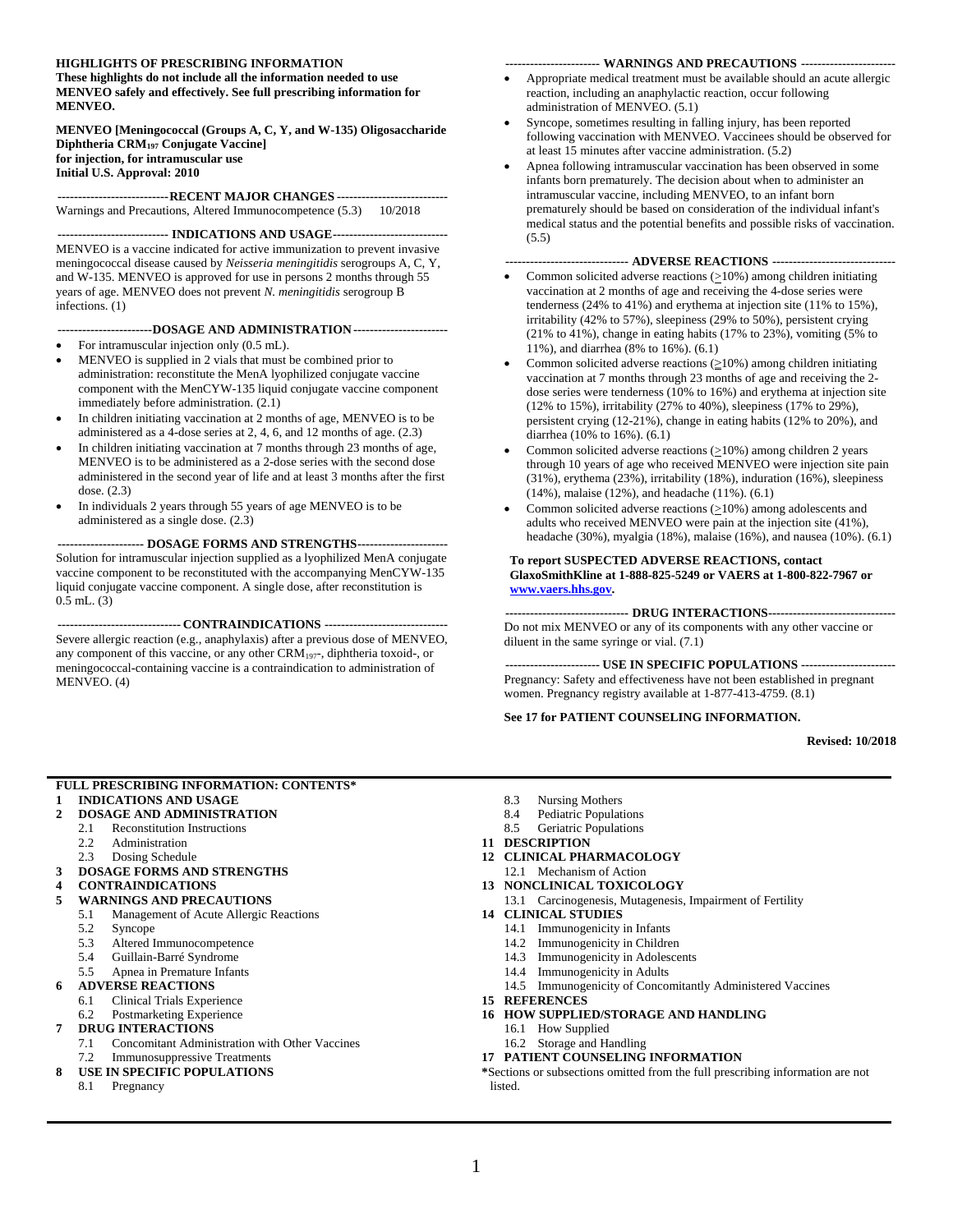#### **HIGHLIGHTS OF PRESCRIBING INFORMATION**

**These highlights do not include all the information needed to use MENVEO safely and effectively. See full prescribing information for MENVEO.**

**MENVEO [Meningococcal (Groups A, C, Y, and W-135) Oligosaccharide Diphtheria CRM<sup>197</sup> Conjugate Vaccine] for injection, for intramuscular use Initial U.S. Approval: 2010**

**---------------------------RECENT MAJOR CHANGES ---------------------------** Warnings and Precautions, Altered Immunocompetence (5.3) 10/2018

#### **--------------------------- INDICATIONS AND USAGE----------------------------**

MENVEO is a vaccine indicated for active immunization to prevent invasive meningococcal disease caused by *Neisseria meningitidis* serogroups A, C, Y, and W-135. MENVEO is approved for use in persons 2 months through 55 years of age. MENVEO does not prevent *N. meningitidis* serogroup B infections. (1)

#### **-----------------------DOSAGE AND ADMINISTRATION-----------------------**

- For intramuscular injection only  $(0.5$  mL).
- MENVEO is supplied in 2 vials that must be combined prior to administration: reconstitute the MenA lyophilized conjugate vaccine component with the MenCYW-135 liquid conjugate vaccine component immediately before administration. (2.1)
- In children initiating vaccination at 2 months of age, MENVEO is to be administered as a 4-dose series at 2, 4, 6, and 12 months of age. (2.3)
- In children initiating vaccination at 7 months through 23 months of age, MENVEO is to be administered as a 2-dose series with the second dose administered in the second year of life and at least 3 months after the first dose. (2.3)
- In individuals 2 years through 55 years of age MENVEO is to be administered as a single dose. (2.3)

**--------------------- DOSAGE FORMS AND STRENGTHS----------------------** Solution for intramuscular injection supplied as a lyophilized MenA conjugate vaccine component to be reconstituted with the accompanying MenCYW-135 liquid conjugate vaccine component. A single dose, after reconstitution is 0.5 mL. (3)

**------------------------------ CONTRAINDICATIONS ------------------------------** Severe allergic reaction (e.g., anaphylaxis) after a previous dose of MENVEO, any component of this vaccine, or any other  $CRM_{197}$ , diphtheria toxoid-, or meningococcal-containing vaccine is a contraindication to administration of MENVEO. (4)

#### **----------------------- WARNINGS AND PRECAUTIONS -----------------------**

- Appropriate medical treatment must be available should an acute allergic reaction, including an anaphylactic reaction, occur following administration of MENVEO. (5.1)
- Syncope, sometimes resulting in falling injury, has been reported following vaccination with MENVEO. Vaccinees should be observed for at least 15 minutes after vaccine administration. (5.2)
- Apnea following intramuscular vaccination has been observed in some infants born prematurely. The decision about when to administer an intramuscular vaccine, including MENVEO, to an infant born prematurely should be based on consideration of the individual infant's medical status and the potential benefits and possible risks of vaccination.  $(5.5)$

#### **------------------------------ ADVERSE REACTIONS ------------------------------**

- Common solicited adverse reactions (>10%) among children initiating vaccination at 2 months of age and receiving the 4-dose series were tenderness (24% to 41%) and erythema at injection site (11% to 15%), irritability (42% to 57%), sleepiness (29% to 50%), persistent crying (21% to 41%), change in eating habits (17% to 23%), vomiting (5% to 11%), and diarrhea (8% to 16%). (6.1)
- Common solicited adverse reactions  $(\geq 10\%)$  among children initiating vaccination at 7 months through 23 months of age and receiving the 2 dose series were tenderness (10% to 16%) and erythema at injection site (12% to 15%), irritability (27% to 40%), sleepiness (17% to 29%), persistent crying (12-21%), change in eating habits (12% to 20%), and diarrhea (10% to 16%). (6.1)
- Common solicited adverse reactions  $(≥10%)$  among children 2 years through 10 years of age who received MENVEO were injection site pain (31%), erythema (23%), irritability (18%), induration (16%), sleepiness (14%), malaise (12%), and headache (11%). (6.1)
- Common solicited adverse reactions (>10%) among adolescents and adults who received MENVEO were pain at the injection site (41%), headache (30%), myalgia (18%), malaise (16%), and nausea (10%). (6.1)

#### **To report SUSPECTED ADVERSE REACTIONS, contact GlaxoSmithKline at 1-888-825-5249 or VAERS at 1-800-822-7967 or [www.vaers.hhs.gov.](http://www.vaers.hhs.gov/)**

**------------------------------ DRUG INTERACTIONS-------------------------------** Do not mix MENVEO or any of its components with any other vaccine or diluent in the same syringe or vial. (7.1)

**----------------------- USE IN SPECIFIC POPULATIONS -----------------------** Pregnancy: Safety and effectiveness have not been established in pregnant women. Pregnancy registry available at 1-877-413-4759. (8.1)

#### **See 17 for PATIENT COUNSELING INFORMATION.**

**Revised: 10/2018**

#### **FULL PRESCRIBING INFORMATION: CONTENTS\***

- **1 [INDICATIONS AND USAGE](#page-1-0)**
- **2 [DOSAGE AND ADMINISTRATION](#page-1-1)**
- 2.1 [Reconstitution Instructions](#page-1-2)
- 2.2 [Administration](#page-1-3)
- 2.3 [Dosing Schedule](#page-2-0)
- **3 [DOSAGE FORMS AND STRENGTHS](#page-2-1)**
- **4 [CONTRAINDICATIONS](#page-2-2)**

#### **5 [WARNINGS AND PRECAUTIONS](#page-2-3)**

- 5.1 [Management of Acute Allergic Reactions](#page-2-4)
	- 5.2 [Syncope](#page-2-5)
	-
	- 5.3 [Altered Immunocompetence](#page-3-0)<br>5.4 Guillain-Barré Syndrome 5.4 [Guillain-Barré Syndrome](#page-3-1)
	- 5.5 [Apnea in Premature Infants](#page-3-2)

#### **6 [ADVERSE REACTIONS](#page-3-3)**

- 6.1 [Clinical Trials Experience](#page-3-4)
- 6.2 [Postmarketing Experience](#page-14-0)
- **7 [DRUG INTERACTIONS](#page-15-0)**
	- 7.1 [Concomitant Administration with Other Vaccines](#page-15-1) 7.2 [Immunosuppressive Treatments](#page-16-0)
- **8 [USE IN SPECIFIC POPULATIONS](#page-16-1)**
	- 8.1 [Pregnancy](#page-16-2)
- 8.3 [Nursing Mothers](#page-17-0)
- 8.4 [Pediatric Populations](#page-17-1)
- 8.5 [Geriatric Populations](#page-17-2)
- **11 [DESCRIPTION](#page-17-3)**
- **12 [CLINICAL PHARMACOLOGY](#page-18-0)**

#### 12.1 [Mechanism of Action](#page-18-1)

- **13 [NONCLINICAL TOXICOLOGY](#page-18-2)**
- 13.1 [Carcinogenesis, Mutagenesis, Impairment of Fertility](#page-18-3)
- **14 [CLINICAL STUDIES](#page-18-4)**
	- 14.1 [Immunogenicity in Infants](#page-19-0)
	- 14.2 [Immunogenicity in Children](#page-20-0)
	- 14.3 [Immunogenicity in Adolescents](#page-22-0)
	- 14.4 [Immunogenicity in Adults](#page-24-0)
	- 14.5 [Immunogenicity of Concomitantly Administered Vaccines](#page-26-0)
- **15 [REFERENCES](#page-27-0)**
- **16 [HOW SUPPLIED/STORAGE](#page-28-0) AND HANDLING**
	- 16.1 [How Supplied](#page-28-1)
	- 16.2 [Storage and Handling](#page-28-2)

#### **17 [PATIENT COUNSELING INFORMATION](#page-28-3)**

**\***Sections or subsections omitted from the full prescribing information are not listed.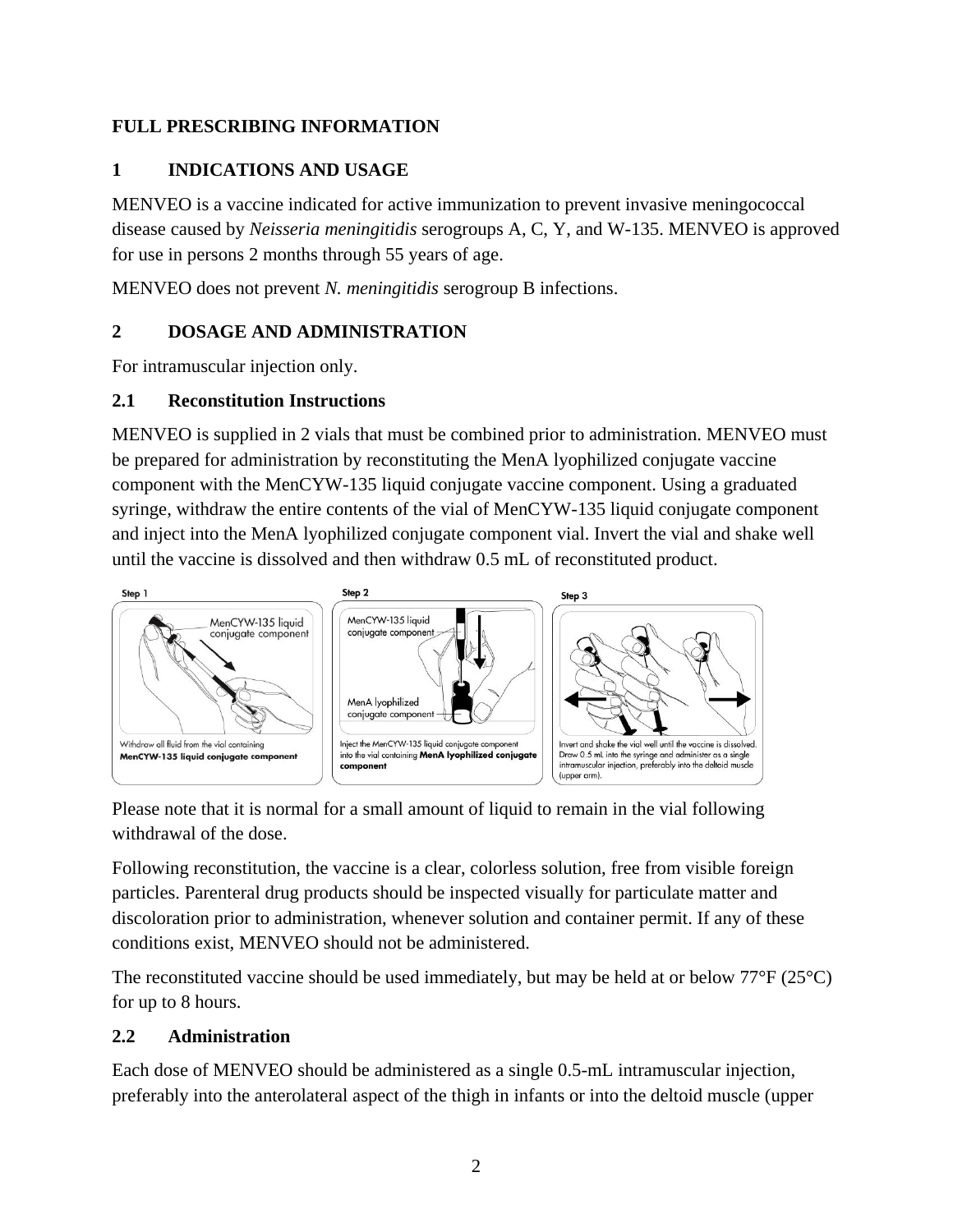## <span id="page-1-0"></span>**FULL PRESCRIBING INFORMATION**

## **1 INDICATIONS AND USAGE**

MENVEO is a vaccine indicated for active immunization to prevent invasive meningococcal disease caused by *Neisseria meningitidis* serogroups A, C, Y, and W-135. MENVEO is approved for use in persons 2 months through 55 years of age.

<span id="page-1-1"></span>MENVEO does not prevent *N. meningitidis* serogroup B infections.

## **2 DOSAGE AND ADMINISTRATION**

For intramuscular injection only.

#### <span id="page-1-2"></span>**2.1 Reconstitution Instructions**

MENVEO is supplied in 2 vials that must be combined prior to administration. MENVEO must be prepared for administration by reconstituting the MenA lyophilized conjugate vaccine component with the MenCYW-135 liquid conjugate vaccine component. Using a graduated syringe, withdraw the entire contents of the vial of MenCYW-135 liquid conjugate component and inject into the MenA lyophilized conjugate component vial. Invert the vial and shake well until the vaccine is dissolved and then withdraw 0.5 mL of reconstituted product.



Please note that it is normal for a small amount of liquid to remain in the vial following withdrawal of the dose.

Following reconstitution, the vaccine is a clear, colorless solution, free from visible foreign particles. Parenteral drug products should be inspected visually for particulate matter and discoloration prior to administration, whenever solution and container permit. If any of these conditions exist, MENVEO should not be administered.

The reconstituted vaccine should be used immediately, but may be held at or below  $77^{\circ}F (25^{\circ}C)$ for up to 8 hours.

## <span id="page-1-3"></span>**2.2 Administration**

Each dose of MENVEO should be administered as a single 0.5-mL intramuscular injection, preferably into the anterolateral aspect of the thigh in infants or into the deltoid muscle (upper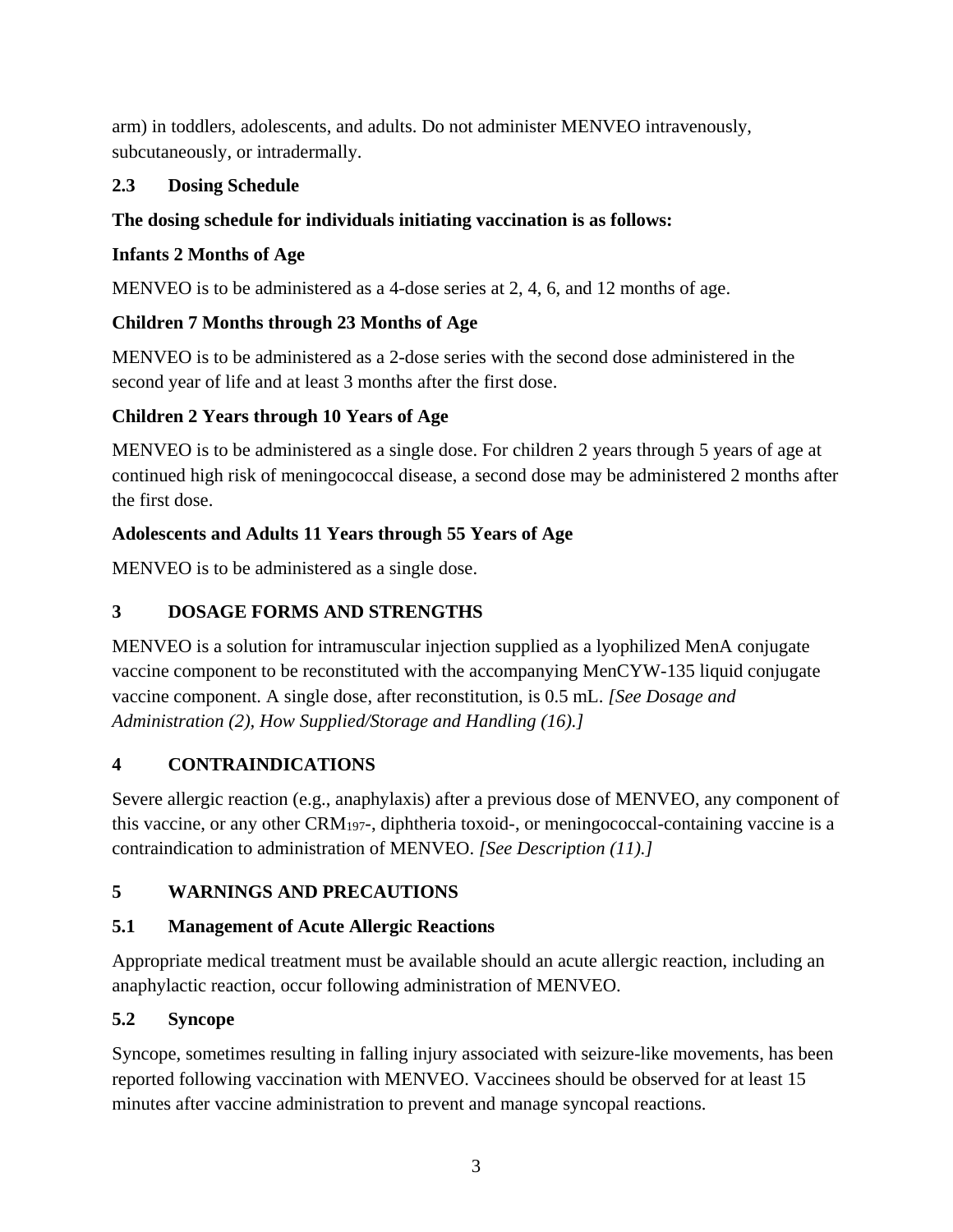arm) in toddlers, adolescents, and adults. Do not administer MENVEO intravenously, subcutaneously, or intradermally.

## <span id="page-2-0"></span>**2.3 Dosing Schedule**

### **The dosing schedule for individuals initiating vaccination is as follows:**

### **Infants 2 Months of Age**

MENVEO is to be administered as a 4-dose series at 2, 4, 6, and 12 months of age.

## **Children 7 Months through 23 Months of Age**

MENVEO is to be administered as a 2-dose series with the second dose administered in the second year of life and at least 3 months after the first dose.

## **Children 2 Years through 10 Years of Age**

MENVEO is to be administered as a single dose. For children 2 years through 5 years of age at continued high risk of meningococcal disease, a second dose may be administered 2 months after the first dose.

## **Adolescents and Adults 11 Years through 55 Years of Age**

<span id="page-2-1"></span>MENVEO is to be administered as a single dose.

# **3 DOSAGE FORMS AND STRENGTHS**

MENVEO is a solution for intramuscular injection supplied as a lyophilized MenA conjugate vaccine component to be reconstituted with the accompanying MenCYW-135 liquid conjugate vaccine component. A single dose, after reconstitution, is 0.5 mL. *[See Dosage and Administration (2), How Supplied/Storage and Handling (16).]*

## <span id="page-2-2"></span>**4 CONTRAINDICATIONS**

Severe allergic reaction (e.g., anaphylaxis) after a previous dose of MENVEO, any component of this vaccine, or any other CRM197-, diphtheria toxoid-, or meningococcal-containing vaccine is a contraindication to administration of MENVEO. *[See Description (11).]*

## <span id="page-2-3"></span>**5 WARNINGS AND PRECAUTIONS**

## <span id="page-2-4"></span>**5.1 Management of Acute Allergic Reactions**

Appropriate medical treatment must be available should an acute allergic reaction, including an anaphylactic reaction, occur following administration of MENVEO.

## <span id="page-2-5"></span>**5.2 Syncope**

Syncope, sometimes resulting in falling injury associated with seizure-like movements, has been reported following vaccination with MENVEO. Vaccinees should be observed for at least 15 minutes after vaccine administration to prevent and manage syncopal reactions.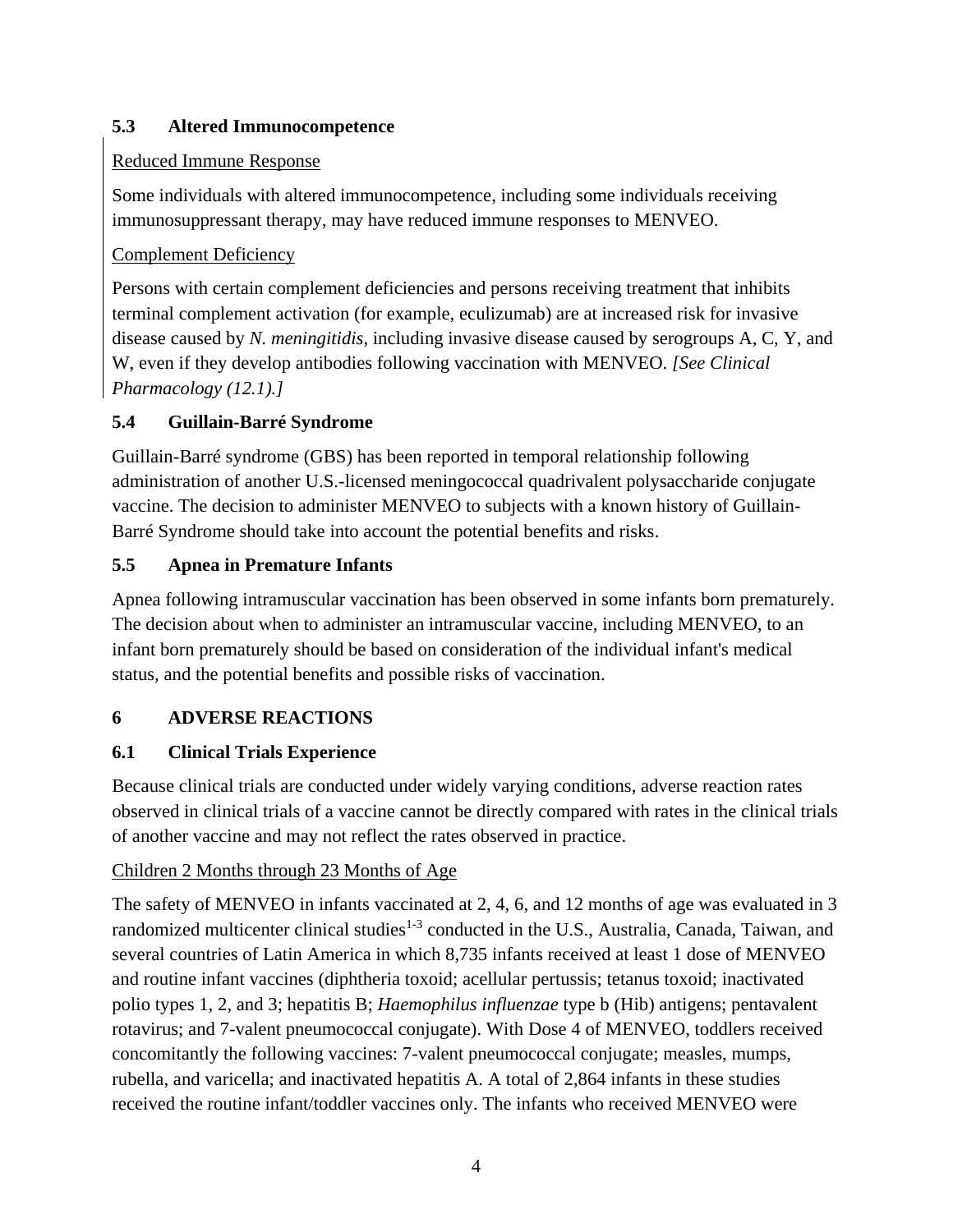## <span id="page-3-0"></span>**5.3 Altered Immunocompetence**

# Reduced Immune Response

Some individuals with altered immunocompetence, including some individuals receiving immunosuppressant therapy, may have reduced immune responses to MENVEO.

# Complement Deficiency

Persons with certain complement deficiencies and persons receiving treatment that inhibits terminal complement activation (for example, eculizumab) are at increased risk for invasive disease caused by *N. meningitidis*, including invasive disease caused by serogroups A, C, Y, and W, even if they develop antibodies following vaccination with MENVEO. *[See Clinical Pharmacology (12.1).]*

# <span id="page-3-1"></span>**5.4 Guillain-Barré Syndrome**

Guillain-Barré syndrome (GBS) has been reported in temporal relationship following administration of another U.S.-licensed meningococcal quadrivalent polysaccharide conjugate vaccine. The decision to administer MENVEO to subjects with a known history of Guillain-Barré Syndrome should take into account the potential benefits and risks.

# <span id="page-3-2"></span>**5.5 Apnea in Premature Infants**

Apnea following intramuscular vaccination has been observed in some infants born prematurely. The decision about when to administer an intramuscular vaccine, including MENVEO, to an infant born prematurely should be based on consideration of the individual infant's medical status, and the potential benefits and possible risks of vaccination.

# <span id="page-3-3"></span>**6 ADVERSE REACTIONS**

# <span id="page-3-4"></span>**6.1 Clinical Trials Experience**

Because clinical trials are conducted under widely varying conditions, adverse reaction rates observed in clinical trials of a vaccine cannot be directly compared with rates in the clinical trials of another vaccine and may not reflect the rates observed in practice.

## Children 2 Months through 23 Months of Age

The safety of MENVEO in infants vaccinated at 2, 4, 6, and 12 months of age was evaluated in 3 randomized multicenter clinical studies<sup>1-3</sup> conducted in the U.S., Australia, Canada, Taiwan, and several countries of Latin America in which 8,735 infants received at least 1 dose of MENVEO and routine infant vaccines (diphtheria toxoid; acellular pertussis; tetanus toxoid; inactivated polio types 1, 2, and 3; hepatitis B; *Haemophilus influenzae* type b (Hib) antigens; pentavalent rotavirus; and 7-valent pneumococcal conjugate). With Dose 4 of MENVEO, toddlers received concomitantly the following vaccines: 7-valent pneumococcal conjugate; measles, mumps, rubella, and varicella; and inactivated hepatitis A. A total of 2,864 infants in these studies received the routine infant/toddler vaccines only. The infants who received MENVEO were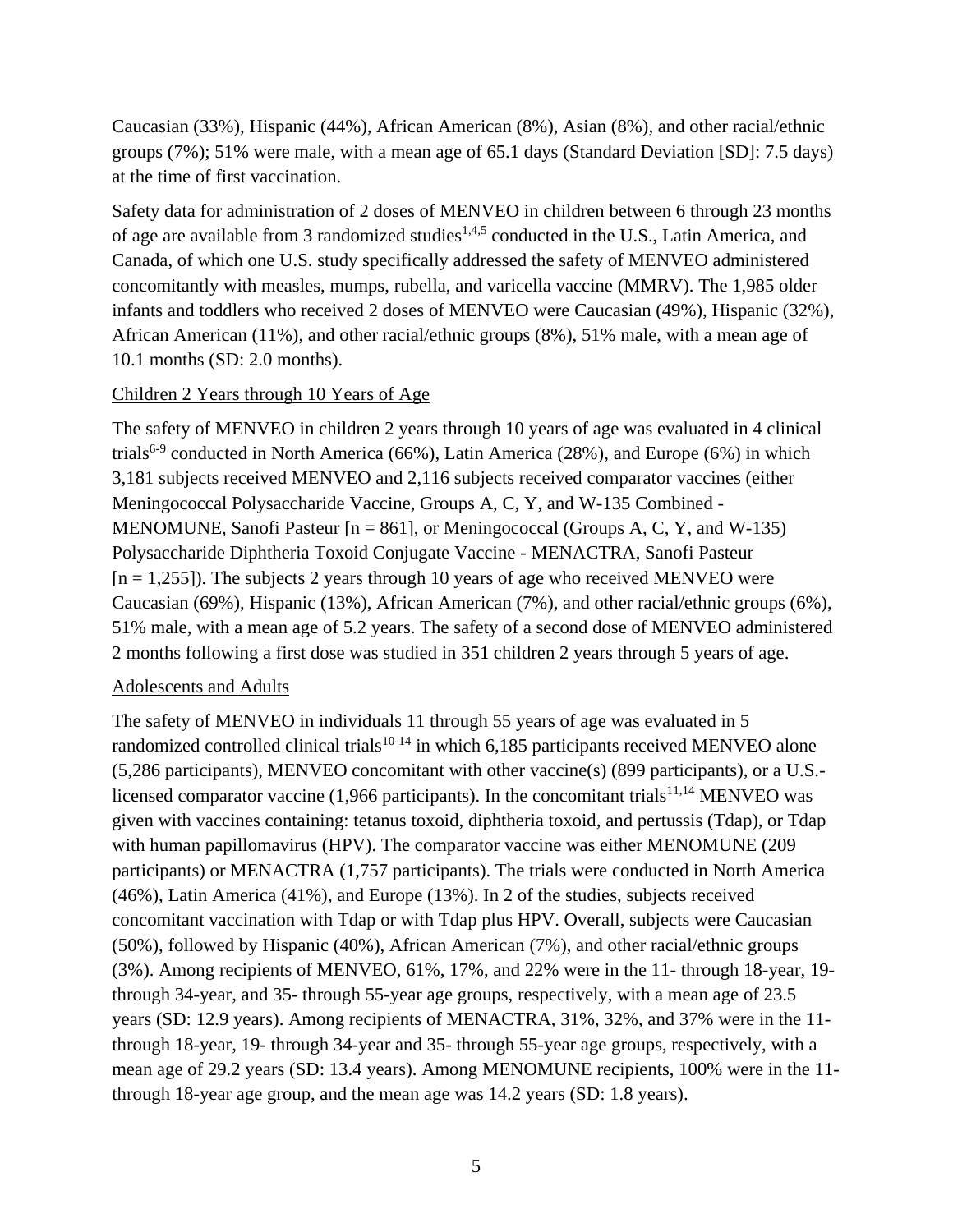Caucasian (33%), Hispanic (44%), African American (8%), Asian (8%), and other racial/ethnic groups (7%); 51% were male, with a mean age of 65.1 days (Standard Deviation [SD]: 7.5 days) at the time of first vaccination.

Safety data for administration of 2 doses of MENVEO in children between 6 through 23 months of age are available from 3 randomized studies<sup>1,4,5</sup> conducted in the U.S., Latin America, and Canada, of which one U.S. study specifically addressed the safety of MENVEO administered concomitantly with measles, mumps, rubella, and varicella vaccine (MMRV). The 1,985 older infants and toddlers who received 2 doses of MENVEO were Caucasian (49%), Hispanic (32%), African American (11%), and other racial/ethnic groups (8%), 51% male, with a mean age of 10.1 months (SD: 2.0 months).

#### Children 2 Years through 10 Years of Age

The safety of MENVEO in children 2 years through 10 years of age was evaluated in 4 clinical trials<sup>6-9</sup> conducted in North America (66%), Latin America (28%), and Europe (6%) in which 3,181 subjects received MENVEO and 2,116 subjects received comparator vaccines (either Meningococcal Polysaccharide Vaccine, Groups A, C, Y, and W-135 Combined - MENOMUNE, Sanofi Pasteur [n = 861], or Meningococcal (Groups A, C, Y, and W-135) Polysaccharide Diphtheria Toxoid Conjugate Vaccine - MENACTRA, Sanofi Pasteur  $[n = 1,255]$ . The subjects 2 years through 10 years of age who received MENVEO were Caucasian (69%), Hispanic (13%), African American (7%), and other racial/ethnic groups (6%), 51% male, with a mean age of 5.2 years. The safety of a second dose of MENVEO administered 2 months following a first dose was studied in 351 children 2 years through 5 years of age.

#### Adolescents and Adults

The safety of MENVEO in individuals 11 through 55 years of age was evaluated in 5 randomized controlled clinical trials<sup>10-14</sup> in which 6,185 participants received MENVEO alone (5,286 participants), MENVEO concomitant with other vaccine(s) (899 participants), or a U.S. licensed comparator vaccine (1,966 participants). In the concomitant trials<sup>11,14</sup> MENVEO was given with vaccines containing: tetanus toxoid, diphtheria toxoid, and pertussis (Tdap), or Tdap with human papillomavirus (HPV). The comparator vaccine was either MENOMUNE (209 participants) or MENACTRA (1,757 participants). The trials were conducted in North America (46%), Latin America (41%), and Europe (13%). In 2 of the studies, subjects received concomitant vaccination with Tdap or with Tdap plus HPV. Overall, subjects were Caucasian (50%), followed by Hispanic (40%), African American (7%), and other racial/ethnic groups (3%). Among recipients of MENVEO, 61%, 17%, and 22% were in the 11- through 18-year, 19 through 34-year, and 35- through 55-year age groups, respectively, with a mean age of 23.5 years (SD: 12.9 years). Among recipients of MENACTRA, 31%, 32%, and 37% were in the 11 through 18-year, 19- through 34-year and 35- through 55-year age groups, respectively, with a mean age of 29.2 years (SD: 13.4 years). Among MENOMUNE recipients, 100% were in the 11 through 18-year age group, and the mean age was 14.2 years (SD: 1.8 years).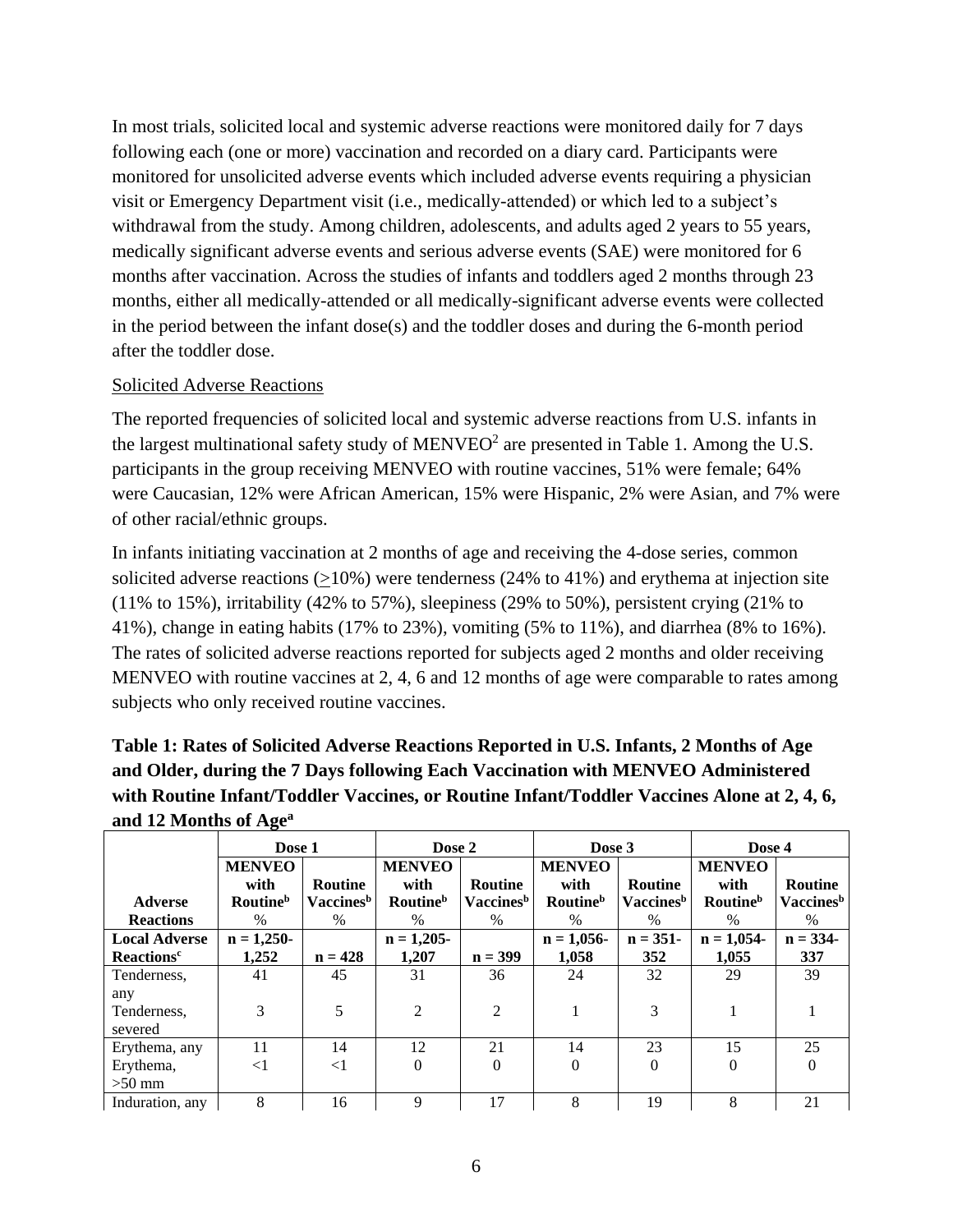In most trials, solicited local and systemic adverse reactions were monitored daily for 7 days following each (one or more) vaccination and recorded on a diary card. Participants were monitored for unsolicited adverse events which included adverse events requiring a physician visit or Emergency Department visit (i.e., medically-attended) or which led to a subject's withdrawal from the study. Among children, adolescents, and adults aged 2 years to 55 years, medically significant adverse events and serious adverse events (SAE) were monitored for 6 months after vaccination. Across the studies of infants and toddlers aged 2 months through 23 months, either all medically-attended or all medically-significant adverse events were collected in the period between the infant dose(s) and the toddler doses and during the 6-month period after the toddler dose.

#### Solicited Adverse Reactions

The reported frequencies of solicited local and systemic adverse reactions from U.S. infants in the largest multinational safety study of MENVEO<sup>2</sup> are presented in Table 1. Among the U.S. participants in the group receiving MENVEO with routine vaccines, 51% were female; 64% were Caucasian, 12% were African American, 15% were Hispanic, 2% were Asian, and 7% were of other racial/ethnic groups.

In infants initiating vaccination at 2 months of age and receiving the 4-dose series, common solicited adverse reactions (>10%) were tenderness (24% to 41%) and erythema at injection site  $(11\%$  to 15%), irritability (42% to 57%), sleepiness (29% to 50%), persistent crying (21% to 41%), change in eating habits (17% to 23%), vomiting (5% to 11%), and diarrhea (8% to 16%). The rates of solicited adverse reactions reported for subjects aged 2 months and older receiving MENVEO with routine vaccines at 2, 4, 6 and 12 months of age were comparable to rates among subjects who only received routine vaccines.

**Table 1: Rates of Solicited Adverse Reactions Reported in U.S. Infants, 2 Months of Age and Older, during the 7 Days following Each Vaccination with MENVEO Administered with Routine Infant/Toddler Vaccines, or Routine Infant/Toddler Vaccines Alone at 2, 4, 6, and 12 Months of Age<sup>a</sup>**

|                              | Dose 1                      |                              | Dose 2                      |                       | Dose 3                      |                              | Dose 4                      |                              |
|------------------------------|-----------------------------|------------------------------|-----------------------------|-----------------------|-----------------------------|------------------------------|-----------------------------|------------------------------|
|                              | <b>MENVEO</b>               |                              | <b>MENVEO</b>               |                       | <b>MENVEO</b>               |                              | <b>MENVEO</b>               |                              |
|                              | with                        | <b>Routine</b>               | with                        | <b>Routine</b>        | with                        | <b>Routine</b>               | with                        | <b>Routine</b>               |
| <b>Adverse</b>               | <b>Routine</b> <sup>b</sup> | <b>Vaccines</b> <sup>b</sup> | <b>Routine</b> <sup>b</sup> | Vaccines <sup>b</sup> | <b>Routine</b> <sup>b</sup> | <b>Vaccines</b> <sup>b</sup> | <b>Routine</b> <sup>b</sup> | <b>Vaccines</b> <sup>b</sup> |
| <b>Reactions</b>             | $\%$                        | $\frac{0}{0}$                | $\%$                        | $\%$                  | $\%$                        | $\%$                         | $\%$                        | $\%$                         |
| <b>Local Adverse</b>         | $n = 1,250-$                |                              | $n = 1,205-$                |                       | $n = 1,056$                 | $n = 351-$                   | $n = 1,054$                 | $n = 334-$                   |
| <b>Reactions<sup>c</sup></b> | 1,252                       | $n = 428$                    | 1,207                       | $n = 399$             | 1,058                       | 352                          | 1,055                       | 337                          |
| Tenderness,                  | 41                          | 45                           | 31                          | 36                    | 24                          | 32                           | 29                          | 39                           |
| any                          |                             |                              |                             |                       |                             |                              |                             |                              |
| Tenderness,                  | 3                           | 5                            | $\overline{2}$              | $\mathfrak{D}$        |                             | 3                            |                             |                              |
| severed                      |                             |                              |                             |                       |                             |                              |                             |                              |
| Erythema, any                | 11                          | 14                           | 12                          | 21                    | 14                          | 23                           | 15                          | 25                           |
| Erythema,                    | $<$ 1                       | $\leq$ 1                     | 0                           | $\Omega$              | $\Omega$                    | $\Omega$                     |                             |                              |
| $>50$ mm                     |                             |                              |                             |                       |                             |                              |                             |                              |
| Induration, any              | 8                           | 16                           | 9                           | 17                    | 8                           | 19                           | 8                           | 21                           |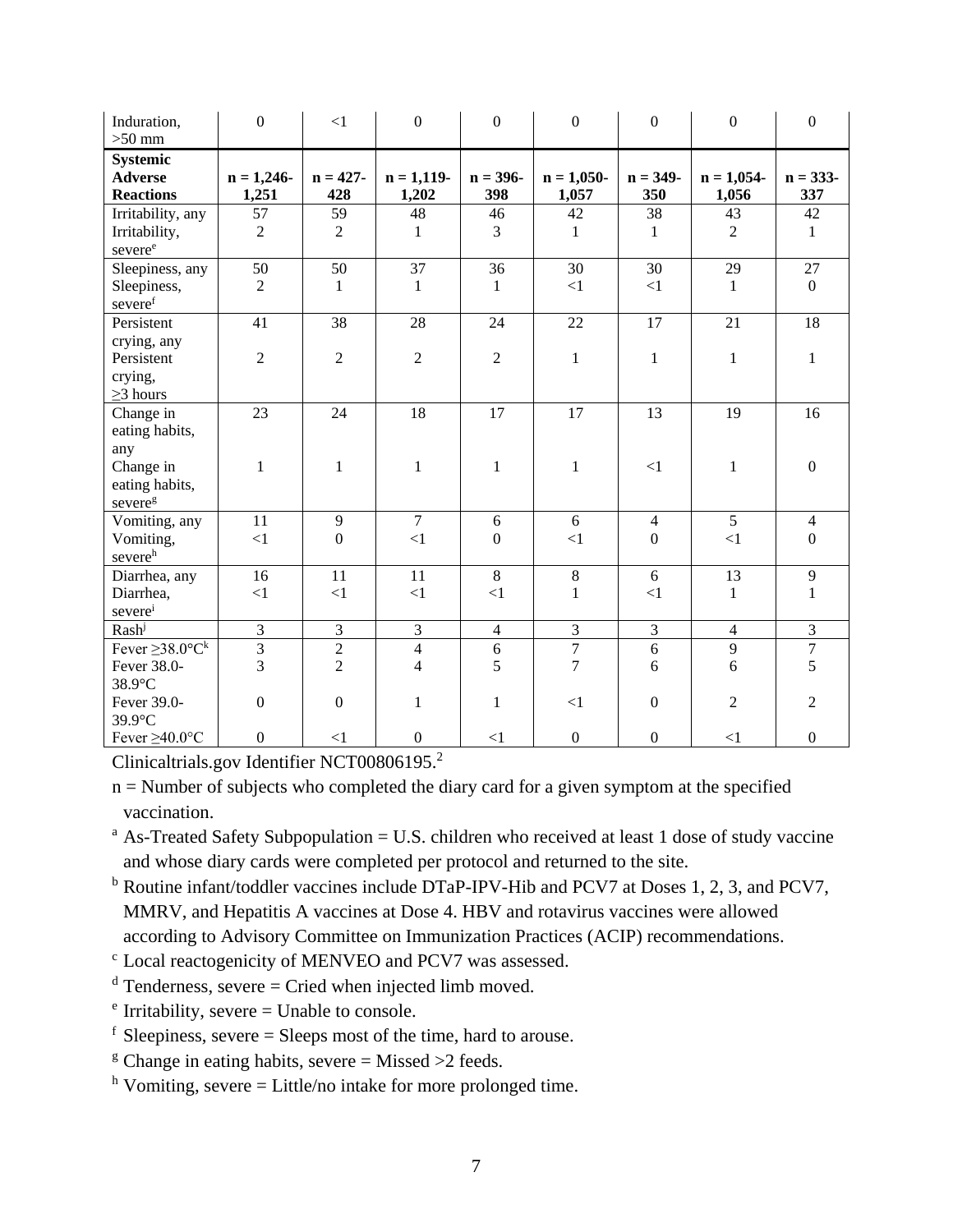| Induration,<br>$>50$ mm                               | $\overline{0}$       | <1                 | $\mathbf{0}$           | $\boldsymbol{0}$   | $\boldsymbol{0}$      | $\boldsymbol{0}$   | $\overline{0}$       | $\boldsymbol{0}$  |
|-------------------------------------------------------|----------------------|--------------------|------------------------|--------------------|-----------------------|--------------------|----------------------|-------------------|
| <b>Systemic</b><br><b>Adverse</b><br><b>Reactions</b> | $n = 1,246$<br>1,251 | $n = 427 -$<br>428 | $n = 1,119$ -<br>1,202 | $n = 396 -$<br>398 | $n = 1,050-$<br>1,057 | $n = 349 -$<br>350 | $n = 1,054$<br>1,056 | $n = 333-$<br>337 |
| Irritability, any                                     | 57                   | 59                 | 48                     | 46                 | 42                    | 38                 | 43                   | 42                |
| Irritability,<br>severe <sup>e</sup>                  | $\overline{2}$       | $\overline{2}$     | 1                      | 3                  | $\mathbf{1}$          | 1                  | $\overline{2}$       | $\mathbf{1}$      |
| Sleepiness, any                                       | 50                   | 50                 | 37                     | 36                 | 30                    | 30                 | 29                   | 27                |
| Sleepiness,<br>severef                                | 2                    | $\mathbf{1}$       | $\mathbf{1}$           | $\mathbf{1}$       | $<$ 1                 | <1                 | $\mathbf{1}$         | $\overline{0}$    |
| Persistent<br>crying, any                             | 41                   | 38                 | 28                     | 24                 | 22                    | 17                 | 21                   | 18                |
| Persistent<br>crying,<br>$\geq$ 3 hours               | $\overline{2}$       | $\overline{2}$     | $\overline{2}$         | $\overline{2}$     | $\mathbf{1}$          | $\mathbf{1}$       | $\mathbf{1}$         | $\mathbf{1}$      |
| Change in<br>eating habits,<br>any                    | 23                   | 24                 | 18                     | 17                 | 17                    | 13                 | 19                   | 16                |
| Change in<br>eating habits,<br>severeg                | $\mathbf{1}$         | $\mathbf{1}$       | $\mathbf{1}$           | $\mathbf{1}$       | $\mathbf{1}$          | $\leq$ 1           | $\mathbf{1}$         | $\boldsymbol{0}$  |
| Vomiting, any                                         | 11                   | 9                  | $\tau$                 | 6                  | 6                     | $\overline{4}$     | 5                    | $\overline{4}$    |
| Vomiting,<br>severeh                                  | $\leq$ 1             | $\boldsymbol{0}$   | $\leq$ 1               | $\boldsymbol{0}$   | $<$ 1                 | $\boldsymbol{0}$   | $\leq$ 1             | $\boldsymbol{0}$  |
| Diarrhea, any                                         | 16                   | 11                 | 11                     | 8                  | 8                     | 6                  | 13                   | 9                 |
| Diarrhea,<br>severei                                  | $<$ 1                | $\leq$ 1           | ${<}1$                 | $<$ 1              | $\mathbf{1}$          | $\leq$ 1           | $\mathbf{1}$         | $\mathbf{1}$      |
| Rash <sup>j</sup>                                     | 3                    | 3                  | 3                      | $\overline{4}$     | 3                     | $\overline{3}$     | $\overline{4}$       | 3                 |
| Fever $\geq$ 38.0°C <sup>k</sup>                      | $\overline{3}$       | $\overline{2}$     | $\overline{4}$         | 6                  | $\overline{7}$        | $\overline{6}$     | $\overline{9}$       | $\overline{7}$    |
| Fever 38.0-<br>38.9°C                                 | $\overline{3}$       | $\overline{2}$     | $\overline{4}$         | 5                  | $\overline{7}$        | 6                  | 6                    | 5                 |
| Fever 39.0-<br>39.9°C                                 | $\boldsymbol{0}$     | $\mathbf{0}$       | $\mathbf{1}$           | $\mathbf{1}$       | $\leq$ 1              | $\boldsymbol{0}$   | $\overline{2}$       | $\overline{2}$    |
| Fever $\geq 40.0$ °C                                  | $\mathbf{0}$         | <1                 | $\boldsymbol{0}$       | $<$ 1              | $\boldsymbol{0}$      | $\overline{0}$     | $\leq$ 1             | $\overline{0}$    |

Clinicaltrials.gov Identifier NCT00806195. 2

n = Number of subjects who completed the diary card for a given symptom at the specified vaccination.

 $a$  As-Treated Safety Subpopulation = U.S. children who received at least 1 dose of study vaccine and whose diary cards were completed per protocol and returned to the site.

<sup>b</sup> Routine infant/toddler vaccines include DTaP-IPV-Hib and PCV7 at Doses 1, 2, 3, and PCV7, MMRV, and Hepatitis A vaccines at Dose 4. HBV and rotavirus vaccines were allowed according to Advisory Committee on Immunization Practices (ACIP) recommendations.

<sup>c</sup> Local reactogenicity of MENVEO and PCV7 was assessed.

 $d$  Tenderness, severe = Cried when injected limb moved.

<sup>e</sup> Irritability, severe = Unable to console.

 $f$  Sleepiness, severe = Sleeps most of the time, hard to arouse.

 $g$  Change in eating habits, severe = Missed > 2 feeds.

 $h$  Vomiting, severe = Little/no intake for more prolonged time.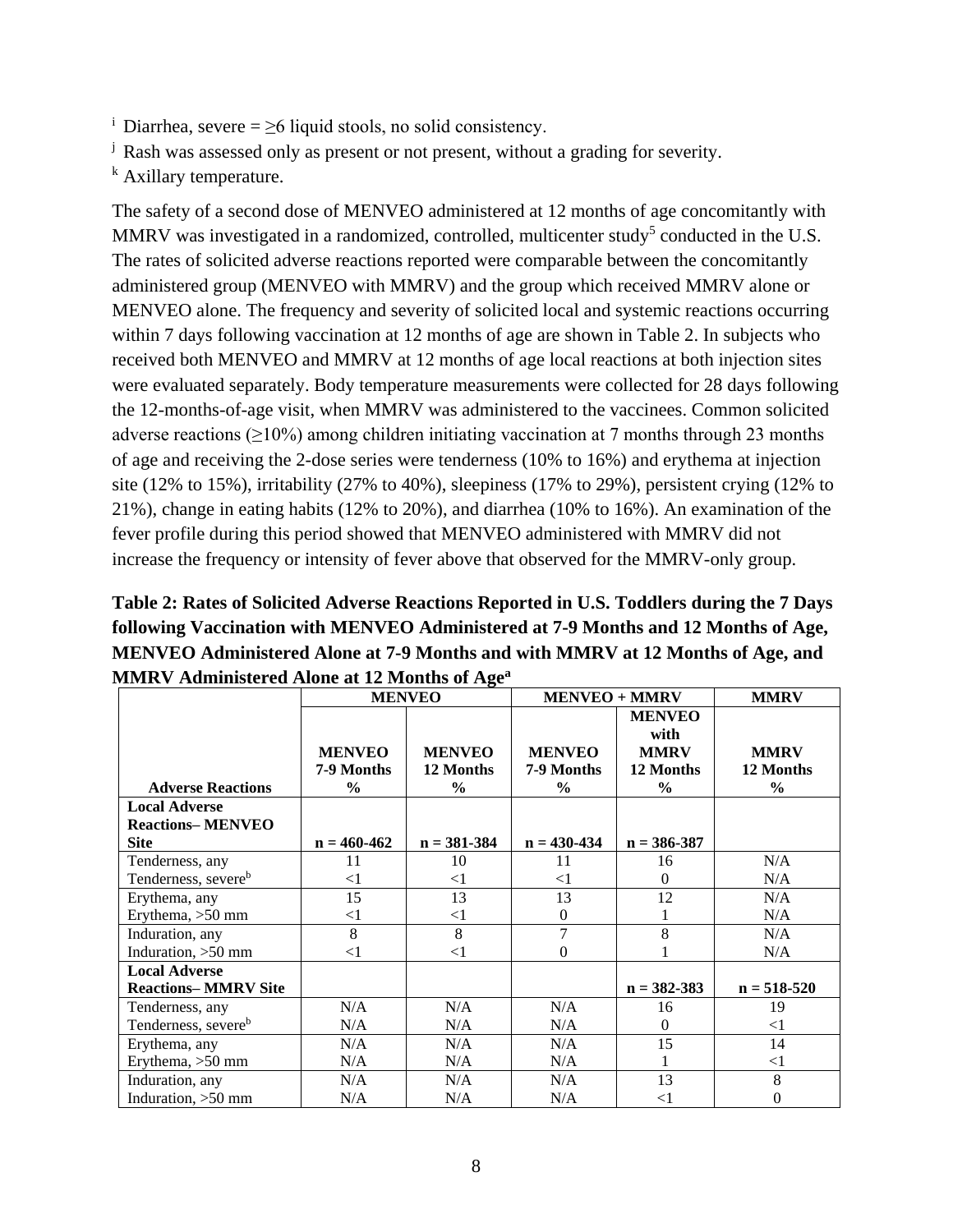- <sup>i</sup> Diarrhea, severe =  $\geq$ 6 liquid stools, no solid consistency.
- <sup>j</sup> Rash was assessed only as present or not present, without a grading for severity.
- <sup>k</sup> Axillary temperature.

The safety of a second dose of MENVEO administered at 12 months of age concomitantly with MMRV was investigated in a randomized, controlled, multicenter study<sup>5</sup> conducted in the U.S. The rates of solicited adverse reactions reported were comparable between the concomitantly administered group (MENVEO with MMRV) and the group which received MMRV alone or MENVEO alone. The frequency and severity of solicited local and systemic reactions occurring within 7 days following vaccination at 12 months of age are shown in Table 2. In subjects who received both MENVEO and MMRV at 12 months of age local reactions at both injection sites were evaluated separately. Body temperature measurements were collected for 28 days following the 12-months-of-age visit, when MMRV was administered to the vaccinees. Common solicited adverse reactions ( $\geq$ 10%) among children initiating vaccination at 7 months through 23 months of age and receiving the 2-dose series were tenderness (10% to 16%) and erythema at injection site (12% to 15%), irritability (27% to 40%), sleepiness (17% to 29%), persistent crying (12% to 21%), change in eating habits (12% to 20%), and diarrhea (10% to 16%). An examination of the fever profile during this period showed that MENVEO administered with MMRV did not increase the frequency or intensity of fever above that observed for the MMRV-only group.

| Table 2: Rates of Solicited Adverse Reactions Reported in U.S. Toddlers during the 7 Days |
|-------------------------------------------------------------------------------------------|
| following Vaccination with MENVEO Administered at 7-9 Months and 12 Months of Age,        |
| MENVEO Administered Alone at 7-9 Months and with MMRV at 12 Months of Age, and            |
| <b>MMRV</b> Administered Alone at 12 Months of Age <sup>a</sup>                           |

|                                 | <b>MENVEO</b>                                |                                             | <b>MENVEO + MMRV</b>                         | <b>MMRV</b>                                                        |                                           |
|---------------------------------|----------------------------------------------|---------------------------------------------|----------------------------------------------|--------------------------------------------------------------------|-------------------------------------------|
| <b>Adverse Reactions</b>        | <b>MENVEO</b><br>7-9 Months<br>$\frac{0}{0}$ | <b>MENVEO</b><br>12 Months<br>$\frac{0}{0}$ | <b>MENVEO</b><br>7-9 Months<br>$\frac{6}{6}$ | <b>MENVEO</b><br>with<br><b>MMRV</b><br>12 Months<br>$\frac{6}{6}$ | <b>MMRV</b><br>12 Months<br>$\frac{0}{0}$ |
| <b>Local Adverse</b>            |                                              |                                             |                                              |                                                                    |                                           |
| <b>Reactions–MENVEO</b>         |                                              |                                             |                                              |                                                                    |                                           |
| <b>Site</b>                     | $n = 460 - 462$                              | $n = 381 - 384$                             | $n = 430 - 434$                              | $n = 386 - 387$                                                    |                                           |
| Tenderness, any                 | 11                                           | 10                                          | 11                                           | 16                                                                 | N/A                                       |
| Tenderness, severe <sup>b</sup> | $<$ 1                                        | $<$ 1                                       | $<$ 1                                        | $\Omega$                                                           | N/A                                       |
| Erythema, any                   | 15                                           | 13                                          | 13                                           | 12                                                                 | N/A                                       |
| Erythema, >50 mm                | $<$ 1                                        | $<$ 1                                       | $\mathbf{0}$                                 |                                                                    | N/A                                       |
| Induration, any                 | 8                                            | 8                                           | 7                                            | 8                                                                  | N/A                                       |
| Induration, >50 mm              | $<$ 1                                        | $<$ 1                                       | 0                                            |                                                                    | N/A                                       |
| <b>Local Adverse</b>            |                                              |                                             |                                              |                                                                    |                                           |
| <b>Reactions-MMRV Site</b>      |                                              |                                             |                                              | $n = 382 - 383$                                                    | $n = 518 - 520$                           |
| Tenderness, any                 | N/A                                          | N/A                                         | N/A                                          | 16                                                                 | 19                                        |
| Tenderness, severe <sup>b</sup> | N/A                                          | N/A                                         | N/A                                          | $\Omega$                                                           | $<$ 1                                     |
| Erythema, any                   | N/A                                          | N/A                                         | N/A                                          | 15                                                                 | 14                                        |
| Erythema, $>50$ mm              | N/A                                          | N/A                                         | N/A                                          | 1                                                                  | $<$ 1                                     |
| Induration, any                 | N/A                                          | N/A                                         | N/A                                          | 13                                                                 | 8                                         |
| Induration, >50 mm              | N/A                                          | N/A                                         | N/A                                          | $< \! 1$                                                           | 0                                         |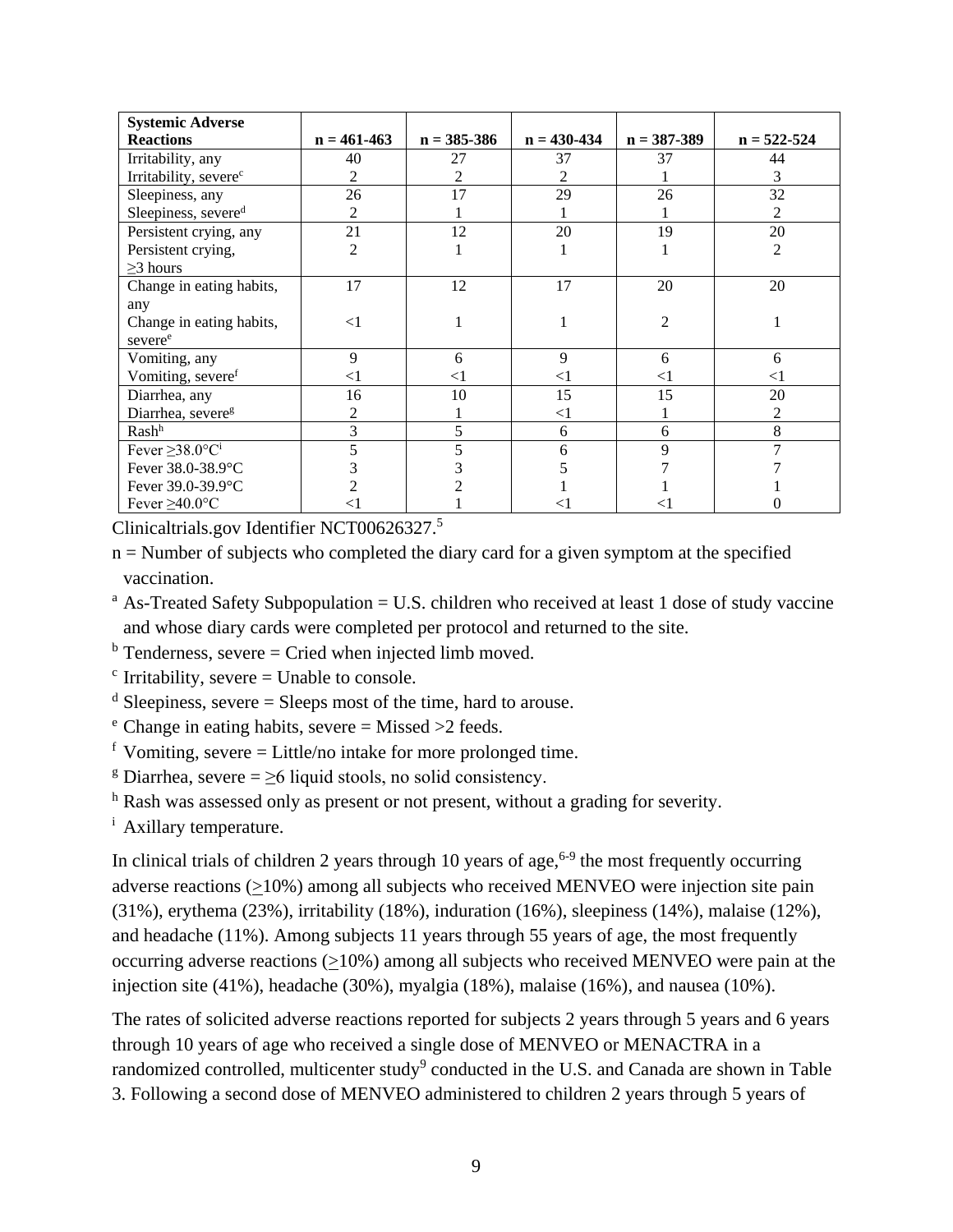| <b>Systemic Adverse</b>           |                 |                 |                 |                 |                 |
|-----------------------------------|-----------------|-----------------|-----------------|-----------------|-----------------|
| <b>Reactions</b>                  | $n = 461 - 463$ | $n = 385 - 386$ | $n = 430 - 434$ | $n = 387 - 389$ | $n = 522 - 524$ |
| Irritability, any                 | 40              | 27              | 37              | 37              | 44              |
| Irritability, severe <sup>c</sup> | 2               | 2               | 2               |                 | 3               |
| Sleepiness, any                   | 26              | 17              | 29              | 26              | 32              |
| Sleepiness, severed               | 2               |                 |                 |                 | 2               |
| Persistent crying, any            | 21              | 12              | 20              | 19              | 20              |
| Persistent crying,                | $\overline{c}$  |                 |                 |                 | $\overline{2}$  |
| $\geq$ 3 hours                    |                 |                 |                 |                 |                 |
| Change in eating habits,          | 17              | 12              | 17              | 20              | 20              |
| any                               |                 |                 |                 |                 |                 |
| Change in eating habits,          | $\leq$ 1        |                 |                 | $\overline{2}$  |                 |
| severe <sup>e</sup>               |                 |                 |                 |                 |                 |
| Vomiting, any                     | 9               | 6               | 9               | 6               | 6               |
| Vomiting, severe <sup>f</sup>     | $<$ 1           | $<$ 1           | $<$ 1           | $<$ 1           | $<$ 1           |
| Diarrhea, any                     | 16              | 10              | 15              | 15              | 20              |
| Diarrhea, severe <sup>g</sup>     | 2               |                 | $<$ 1           |                 | 2               |
| Rash <sup>h</sup>                 | 3               | 5               | 6               | 6               | 8               |
| Fever $\geq$ 38.0°C <sup>i</sup>  |                 |                 | 6               | 9               |                 |
| Fever 38.0-38.9°C                 |                 |                 |                 |                 |                 |
| Fever 39.0-39.9°C                 |                 |                 |                 |                 |                 |
| Fever $\geq 40.0$ °C              | <1              |                 | < l             |                 |                 |

Clinicaltrials.gov Identifier NCT00626327. 5

n = Number of subjects who completed the diary card for a given symptom at the specified vaccination.

 $a$  As-Treated Safety Subpopulation = U.S. children who received at least 1 dose of study vaccine and whose diary cards were completed per protocol and returned to the site.

 $<sup>b</sup>$  Tenderness, severe = Cried when injected limb moved.</sup>

 $c$  Irritability, severe = Unable to console.

 $d$  Sleepiness, severe = Sleeps most of the time, hard to arouse.

 $e^{\text{h}}$  Change in eating habits, severe = Missed >2 feeds.

 $f$  Vomiting, severe = Little/no intake for more prolonged time.

<sup>g</sup> Diarrhea, severe =  $\geq$ 6 liquid stools, no solid consistency.

<sup>h</sup> Rash was assessed only as present or not present, without a grading for severity.

<sup>i</sup> Axillary temperature.

In clinical trials of children 2 years through 10 years of age,  $6-9$  the most frequently occurring adverse reactions (>10%) among all subjects who received MENVEO were injection site pain (31%), erythema (23%), irritability (18%), induration (16%), sleepiness (14%), malaise (12%), and headache (11%). Among subjects 11 years through 55 years of age, the most frequently occurring adverse reactions (>10%) among all subjects who received MENVEO were pain at the injection site (41%), headache (30%), myalgia (18%), malaise (16%), and nausea (10%).

The rates of solicited adverse reactions reported for subjects 2 years through 5 years and 6 years through 10 years of age who received a single dose of MENVEO or MENACTRA in a randomized controlled, multicenter study<sup>9</sup> conducted in the U.S. and Canada are shown in Table 3. Following a second dose of MENVEO administered to children 2 years through 5 years of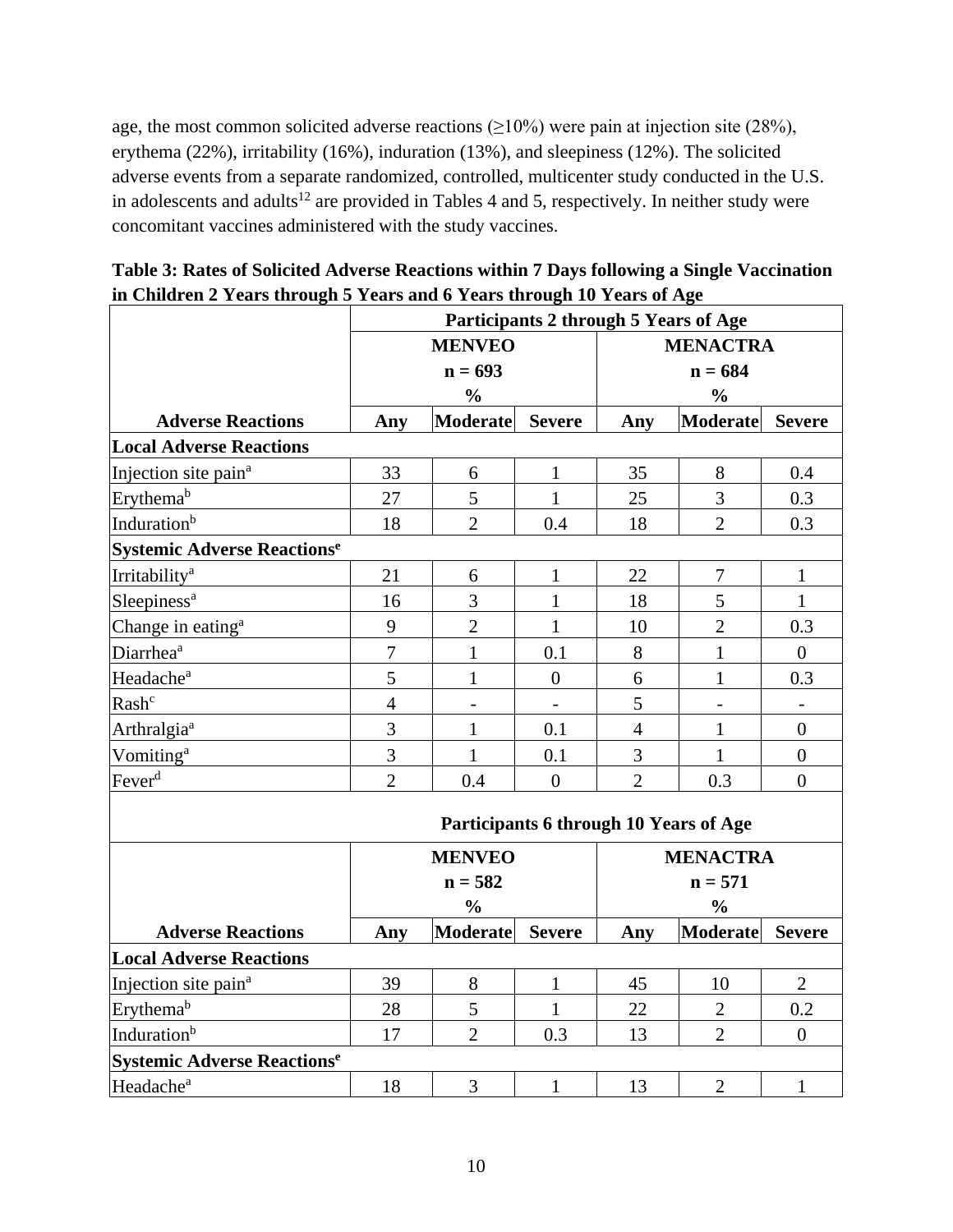age, the most common solicited adverse reactions  $(\geq 10\%)$  were pain at injection site (28%), erythema (22%), irritability (16%), induration (13%), and sleepiness (12%). The solicited adverse events from a separate randomized, controlled, multicenter study conducted in the U.S. in adolescents and adults<sup>12</sup> are provided in Tables 4 and 5, respectively. In neither study were concomitant vaccines administered with the study vaccines.

| Table 3: Rates of Solicited Adverse Reactions within 7 Days following a Single Vaccination |
|--------------------------------------------------------------------------------------------|
| in Children 2 Years through 5 Years and 6 Years through 10 Years of Age                    |

|                                    | Participants 2 through 5 Years of Age |                          |                          |                                        |                          |                  |  |
|------------------------------------|---------------------------------------|--------------------------|--------------------------|----------------------------------------|--------------------------|------------------|--|
|                                    |                                       | <b>MENVEO</b>            |                          | <b>MENACTRA</b>                        |                          |                  |  |
|                                    | $n = 693$                             |                          |                          | $n = 684$                              |                          |                  |  |
|                                    |                                       | $\frac{0}{0}$            |                          |                                        | $\frac{0}{0}$            |                  |  |
| <b>Adverse Reactions</b>           | Any                                   | <b>Moderate</b>          | <b>Severe</b>            | Any                                    | <b>Moderate</b>          | <b>Severe</b>    |  |
| <b>Local Adverse Reactions</b>     |                                       |                          |                          |                                        |                          |                  |  |
| Injection site pain <sup>a</sup>   | 33                                    | 6                        | $\mathbf{1}$             | 35                                     | 8                        | 0.4              |  |
| Erythema <sup>b</sup>              | 27                                    | 5                        | $\mathbf{1}$             | 25                                     | 3                        | 0.3              |  |
| Induration <sup>b</sup>            | 18                                    | $\overline{2}$           | 0.4                      | 18                                     | $\overline{2}$           | 0.3              |  |
| <b>Systemic Adverse Reactionse</b> |                                       |                          |                          |                                        |                          |                  |  |
| Irritability <sup>a</sup>          | 21                                    | 6                        | $\mathbf{1}$             | 22                                     | 7                        | $\mathbf{1}$     |  |
| Sleepiness <sup>a</sup>            | 16                                    | 3                        | $\mathbf{1}$             | 18                                     | 5                        | $\mathbf{1}$     |  |
| Change in eating <sup>a</sup>      | 9                                     | $\overline{2}$           | $\mathbf{1}$             | 10                                     | $\overline{2}$           | 0.3              |  |
| Diarrhea <sup>a</sup>              | $\overline{7}$                        | $\mathbf{1}$             | 0.1                      | 8                                      | $\mathbf{1}$             | $\overline{0}$   |  |
| Headache <sup>a</sup>              | 5                                     | $\mathbf{1}$             | $\overline{0}$           | 6                                      | $\mathbf{1}$             | 0.3              |  |
| Rash <sup>c</sup>                  | $\overline{4}$                        | $\overline{\phantom{a}}$ | $\overline{\phantom{a}}$ | 5                                      | $\overline{\phantom{a}}$ | $\blacksquare$   |  |
| Arthralgia <sup>a</sup>            | 3                                     | $\mathbf{1}$             | 0.1                      | $\overline{4}$                         | $\mathbf{1}$             | $\overline{0}$   |  |
| Vomiting <sup>a</sup>              | 3                                     | $\mathbf{1}$             | 0.1                      | 3                                      | $\mathbf{1}$             | $\boldsymbol{0}$ |  |
| Fever <sup>d</sup>                 | $\overline{2}$                        | 0.4                      | $\overline{0}$           | $\overline{2}$                         | 0.3                      | $\overline{0}$   |  |
|                                    |                                       |                          |                          | Participants 6 through 10 Years of Age |                          |                  |  |
|                                    |                                       | <b>MENVEO</b>            |                          |                                        | <b>MENACTRA</b>          |                  |  |
|                                    |                                       | $n = 582$                |                          |                                        | $n = 571$                |                  |  |
|                                    |                                       | $\frac{0}{0}$            |                          |                                        | $\frac{0}{0}$            |                  |  |
| <b>Adverse Reactions</b>           | Any                                   | <b>Moderate</b>          | <b>Severe</b>            | Any                                    | <b>Moderate</b>          | <b>Severe</b>    |  |
| <b>Local Adverse Reactions</b>     |                                       |                          |                          |                                        |                          |                  |  |
| Injection site pain <sup>a</sup>   | 39                                    | 8                        | $\mathbf{1}$             | 45                                     | 10                       | $\overline{2}$   |  |
| Erythema <sup>b</sup>              | 28                                    | 5                        | $\mathbf{1}$             | 22                                     | $\overline{2}$           | 0.2              |  |
| Induration <sup>b</sup>            | 17                                    | $\overline{2}$           | 0.3                      | 13                                     | $\overline{2}$           | $\overline{0}$   |  |
| <b>Systemic Adverse Reactionse</b> |                                       |                          |                          |                                        |                          |                  |  |
| Headache <sup>a</sup>              | 18                                    | 3                        | $\mathbf{1}$             | 13                                     | $\mathfrak{2}$           | $\mathbf{1}$     |  |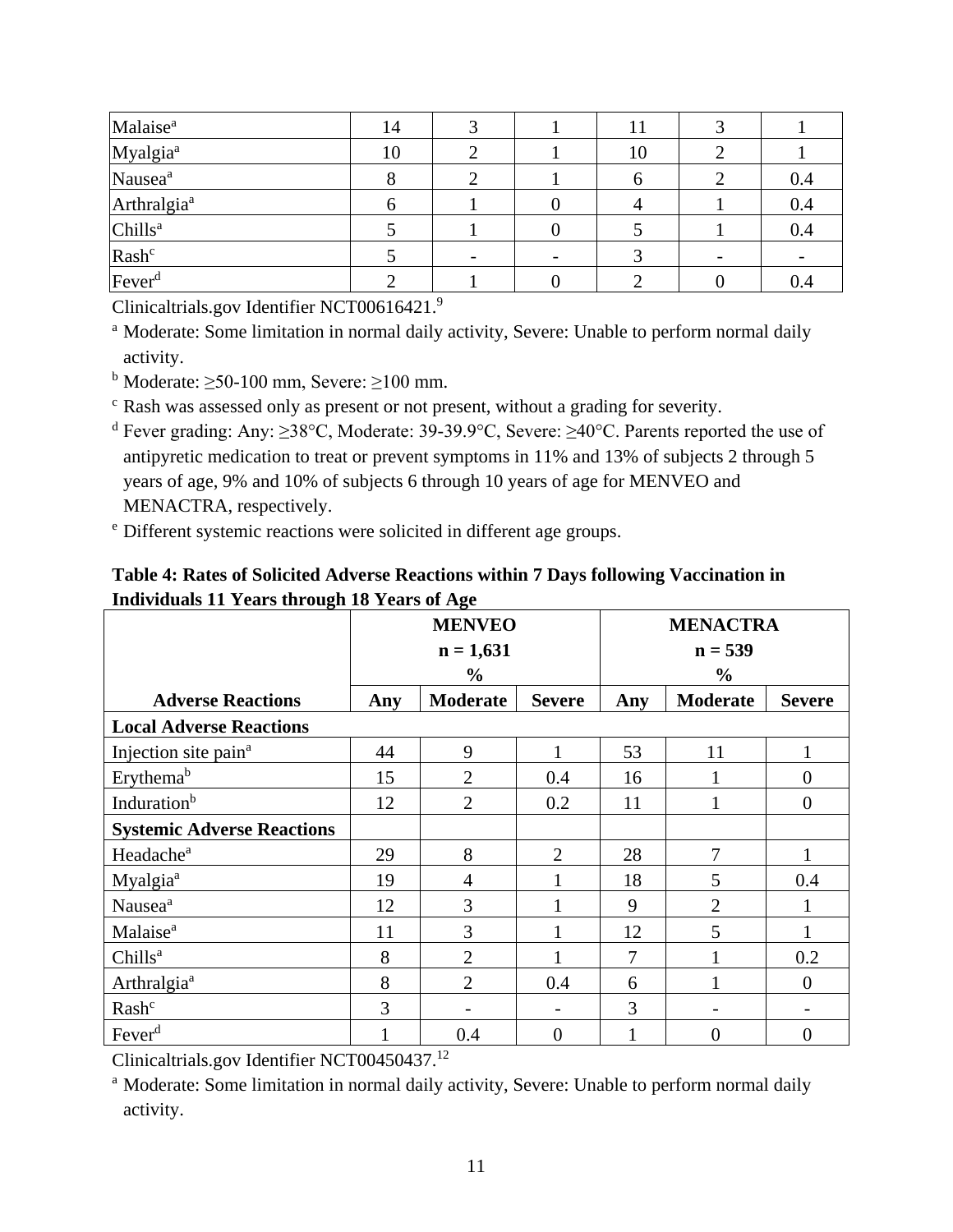| Malaise <sup>a</sup>    | 14 |  | 11 |     |
|-------------------------|----|--|----|-----|
| Myalgia <sup>a</sup>    | 10 |  | 10 |     |
| Nausea <sup>a</sup>     |    |  |    | 0.4 |
| Arthralgia <sup>a</sup> |    |  |    | 0.4 |
| Chills <sup>a</sup>     |    |  |    | 0.4 |
| Rash <sup>c</sup>       |    |  |    |     |
| Fever <sup>d</sup>      |    |  |    | 0.4 |

Clinicaltrials.gov Identifier NCT00616421. 9

<sup>a</sup> Moderate: Some limitation in normal daily activity, Severe: Unable to perform normal daily activity.

 $<sup>b</sup>$  Moderate:  $\geq$ 50-100 mm, Severe:  $\geq$ 100 mm.</sup>

<sup>c</sup> Rash was assessed only as present or not present, without a grading for severity.

<sup>d</sup> Fever grading: Any: ≥38°C, Moderate: 39-39.9°C, Severe: ≥40°C. Parents reported the use of antipyretic medication to treat or prevent symptoms in 11% and 13% of subjects 2 through 5 years of age, 9% and 10% of subjects 6 through 10 years of age for MENVEO and MENACTRA, respectively.

<sup>e</sup> Different systemic reactions were solicited in different age groups.

| murruum 11 Teans un ough 10 Teans of Age |     | <b>MENVEO</b>            |                | <b>MENACTRA</b> |                 |                          |  |
|------------------------------------------|-----|--------------------------|----------------|-----------------|-----------------|--------------------------|--|
|                                          |     | $n = 1,631$              |                | $n = 539$       |                 |                          |  |
|                                          |     | $\frac{6}{9}$            |                |                 | $\frac{0}{0}$   |                          |  |
| <b>Adverse Reactions</b>                 | Any | <b>Moderate</b>          | <b>Severe</b>  | Any             | <b>Moderate</b> | <b>Severe</b>            |  |
| <b>Local Adverse Reactions</b>           |     |                          |                |                 |                 |                          |  |
| Injection site pain <sup>a</sup>         | 44  | 9                        |                | 53              | 11              |                          |  |
| Erythemab                                | 15  | $\overline{2}$           | 0.4            | 16              |                 | $\overline{0}$           |  |
| Induration <sup>b</sup>                  | 12  | $\overline{2}$           | 0.2            | 11              |                 | $\overline{0}$           |  |
| <b>Systemic Adverse Reactions</b>        |     |                          |                |                 |                 |                          |  |
| Headache <sup>a</sup>                    | 29  | 8                        | $\overline{2}$ | 28              | 7               | 1                        |  |
| Myalgia <sup>a</sup>                     | 19  | $\overline{4}$           |                | 18              | 5               | 0.4                      |  |
| Nausea <sup>a</sup>                      | 12  | 3                        |                | 9               | $\overline{2}$  |                          |  |
| Malaise <sup>a</sup>                     | 11  | 3                        |                | 12              | 5               |                          |  |
| Chills <sup>a</sup>                      | 8   | $\overline{2}$           |                | 7               |                 | 0.2                      |  |
| Arthralgia <sup>a</sup>                  | 8   | $\overline{2}$           | 0.4            | 6               |                 | $\boldsymbol{0}$         |  |
| Rash <sup>c</sup>                        | 3   | $\overline{\phantom{a}}$ |                | 3               |                 | $\overline{\phantom{a}}$ |  |
| Fever <sup>d</sup>                       |     | 0.4                      | $\overline{0}$ |                 | $\theta$        | $\overline{0}$           |  |

### **Table 4: Rates of Solicited Adverse Reactions within 7 Days following Vaccination in Individuals 11 Years through 18 Years of Age**

Clinicaltrials.gov Identifier NCT00450437. 12

<sup>a</sup> Moderate: Some limitation in normal daily activity, Severe: Unable to perform normal daily activity.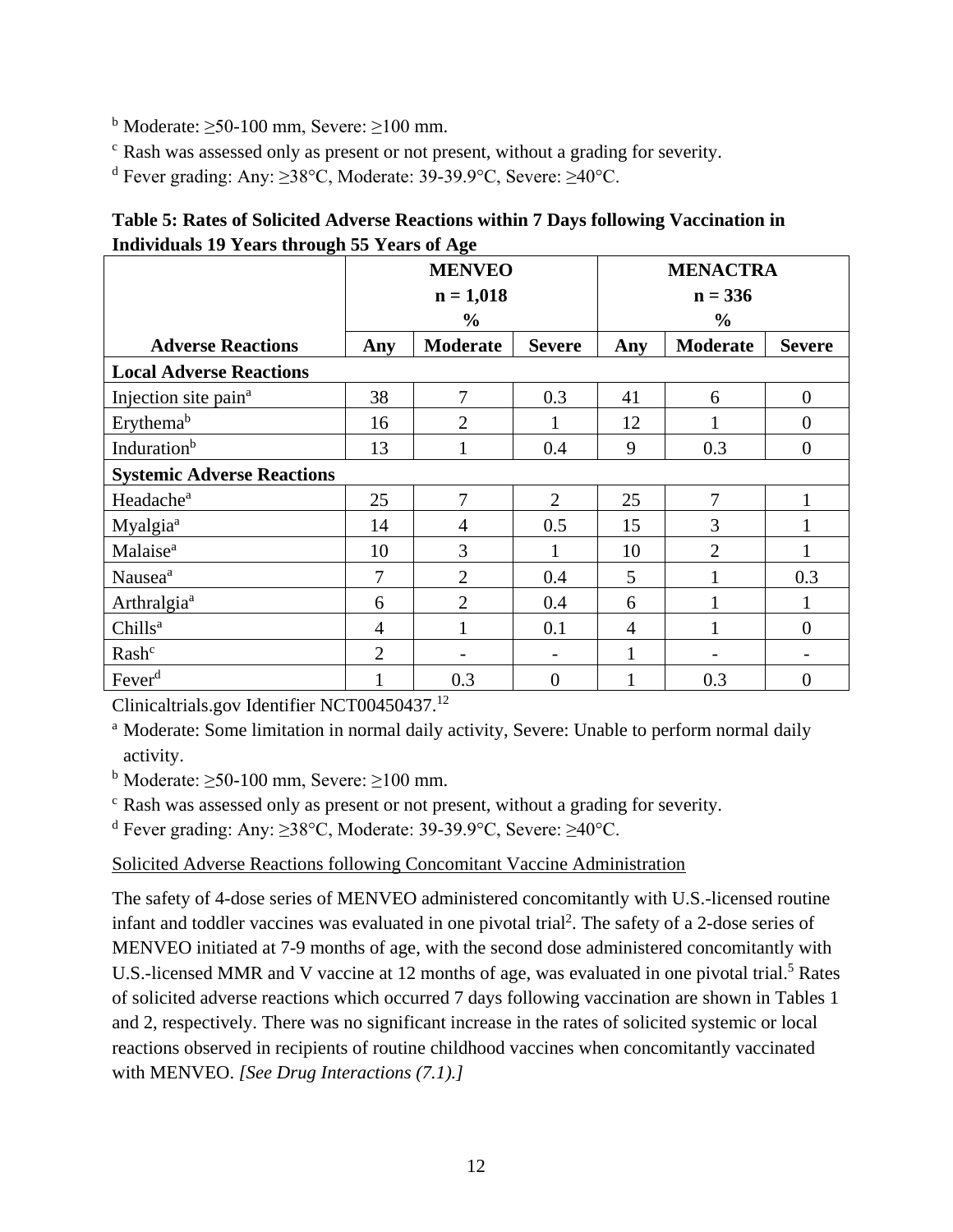<sup>b</sup> Moderate:  $\geq$ 50-100 mm, Severe:  $\geq$ 100 mm.

<sup>c</sup> Rash was assessed only as present or not present, without a grading for severity.

<sup>d</sup> Fever grading: Any: ≥38°C, Moderate: 39-39.9°C, Severe: ≥40°C.

| Table 5: Rates of Solicited Adverse Reactions within 7 Days following Vaccination in |
|--------------------------------------------------------------------------------------|
| Individuals 19 Years through 55 Years of Age                                         |

|                                   | <b>MENVEO</b>  |                 |                | <b>MENACTRA</b> |                 |                |
|-----------------------------------|----------------|-----------------|----------------|-----------------|-----------------|----------------|
|                                   |                | $n = 1,018$     |                | $n = 336$       |                 |                |
|                                   |                | $\frac{6}{6}$   |                |                 | $\%$            |                |
| <b>Adverse Reactions</b>          | Any            | <b>Moderate</b> | <b>Severe</b>  | Any             | <b>Moderate</b> | <b>Severe</b>  |
| <b>Local Adverse Reactions</b>    |                |                 |                |                 |                 |                |
| Injection site pain <sup>a</sup>  | 38             | 7               | 0.3            | 41              | 6               | $\overline{0}$ |
| Erythemab                         | 16             | $\overline{2}$  |                | 12              |                 | $\overline{0}$ |
| Induration <sup>b</sup>           | 13             | $\mathbf{1}$    | 0.4            | 9               | 0.3             | $\overline{0}$ |
| <b>Systemic Adverse Reactions</b> |                |                 |                |                 |                 |                |
| Headache <sup>a</sup>             | 25             | $\overline{7}$  | $\overline{2}$ | 25              | 7               |                |
| Myalgia <sup>a</sup>              | 14             | 4               | 0.5            | 15              | 3               |                |
| Malaise <sup>a</sup>              | 10             | 3               |                | 10              | $\overline{2}$  | 1              |
| Nausea <sup>a</sup>               | 7              | $\overline{2}$  | 0.4            | 5               |                 | 0.3            |
| Arthralgia <sup>a</sup>           | 6              | $\overline{2}$  | 0.4            | 6               |                 | 1              |
| Chills <sup>a</sup>               | $\overline{4}$ |                 | 0.1            | 4               |                 | $\overline{0}$ |
| Rash <sup>c</sup>                 | $\overline{2}$ |                 | -              |                 |                 |                |
| Fever <sup>d</sup>                |                | 0.3             | $\Omega$       |                 | 0.3             | $\overline{0}$ |

Clinicaltrials.gov Identifier NCT00450437. 12

<sup>a</sup> Moderate: Some limitation in normal daily activity, Severe: Unable to perform normal daily activity.

<sup>b</sup> Moderate:  $\geq$ 50-100 mm, Severe:  $\geq$ 100 mm.

 $\epsilon$  Rash was assessed only as present or not present, without a grading for severity.

<sup>d</sup> Fever grading: Any: ≥38°C, Moderate: 39-39.9°C, Severe: ≥40°C.

#### Solicited Adverse Reactions following Concomitant Vaccine Administration

The safety of 4-dose series of MENVEO administered concomitantly with U.S.-licensed routine infant and toddler vaccines was evaluated in one pivotal trial<sup>2</sup>. The safety of a 2-dose series of MENVEO initiated at 7-9 months of age, with the second dose administered concomitantly with U.S.-licensed MMR and V vaccine at 12 months of age, was evaluated in one pivotal trial.<sup>5</sup> Rates of solicited adverse reactions which occurred 7 days following vaccination are shown in Tables 1 and 2, respectively. There was no significant increase in the rates of solicited systemic or local reactions observed in recipients of routine childhood vaccines when concomitantly vaccinated with MENVEO. *[See Drug Interactions (7.1).]*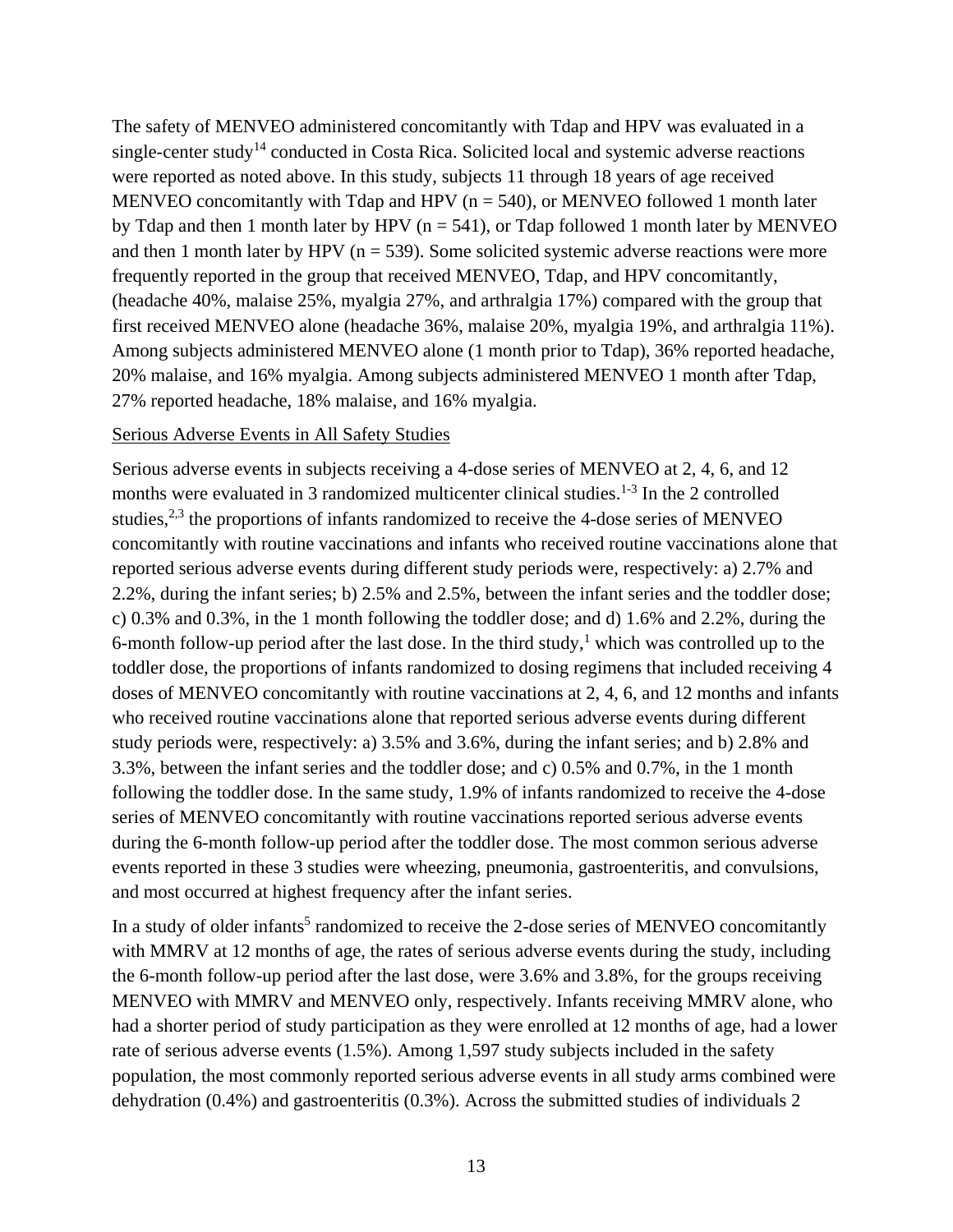The safety of MENVEO administered concomitantly with Tdap and HPV was evaluated in a single-center study<sup>14</sup> conducted in Costa Rica. Solicited local and systemic adverse reactions were reported as noted above. In this study, subjects 11 through 18 years of age received MENVEO concomitantly with Tdap and HPV ( $n = 540$ ), or MENVEO followed 1 month later by Tdap and then 1 month later by HPV ( $n = 541$ ), or Tdap followed 1 month later by MENVEO and then 1 month later by HPV ( $n = 539$ ). Some solicited systemic adverse reactions were more frequently reported in the group that received MENVEO, Tdap, and HPV concomitantly, (headache 40%, malaise 25%, myalgia 27%, and arthralgia 17%) compared with the group that first received MENVEO alone (headache 36%, malaise 20%, myalgia 19%, and arthralgia 11%). Among subjects administered MENVEO alone (1 month prior to Tdap), 36% reported headache, 20% malaise, and 16% myalgia. Among subjects administered MENVEO 1 month after Tdap, 27% reported headache, 18% malaise, and 16% myalgia.

#### Serious Adverse Events in All Safety Studies

Serious adverse events in subjects receiving a 4-dose series of MENVEO at 2, 4, 6, and 12 months were evaluated in 3 randomized multicenter clinical studies.<sup>1-3</sup> In the 2 controlled studies, $2,3$  the proportions of infants randomized to receive the 4-dose series of MENVEO concomitantly with routine vaccinations and infants who received routine vaccinations alone that reported serious adverse events during different study periods were, respectively: a) 2.7% and 2.2%, during the infant series; b) 2.5% and 2.5%, between the infant series and the toddler dose; c) 0.3% and 0.3%, in the 1 month following the toddler dose; and d) 1.6% and 2.2%, during the 6-month follow-up period after the last dose. In the third study, $<sup>1</sup>$  which was controlled up to the</sup> toddler dose, the proportions of infants randomized to dosing regimens that included receiving 4 doses of MENVEO concomitantly with routine vaccinations at 2, 4, 6, and 12 months and infants who received routine vaccinations alone that reported serious adverse events during different study periods were, respectively: a) 3.5% and 3.6%, during the infant series; and b) 2.8% and 3.3%, between the infant series and the toddler dose; and c) 0.5% and 0.7%, in the 1 month following the toddler dose. In the same study, 1.9% of infants randomized to receive the 4-dose series of MENVEO concomitantly with routine vaccinations reported serious adverse events during the 6-month follow-up period after the toddler dose. The most common serious adverse events reported in these 3 studies were wheezing, pneumonia, gastroenteritis, and convulsions, and most occurred at highest frequency after the infant series.

In a study of older infants<sup>5</sup> randomized to receive the 2-dose series of MENVEO concomitantly with MMRV at 12 months of age, the rates of serious adverse events during the study, including the 6-month follow-up period after the last dose, were 3.6% and 3.8%, for the groups receiving MENVEO with MMRV and MENVEO only, respectively. Infants receiving MMRV alone, who had a shorter period of study participation as they were enrolled at 12 months of age, had a lower rate of serious adverse events (1.5%). Among 1,597 study subjects included in the safety population, the most commonly reported serious adverse events in all study arms combined were dehydration (0.4%) and gastroenteritis (0.3%). Across the submitted studies of individuals 2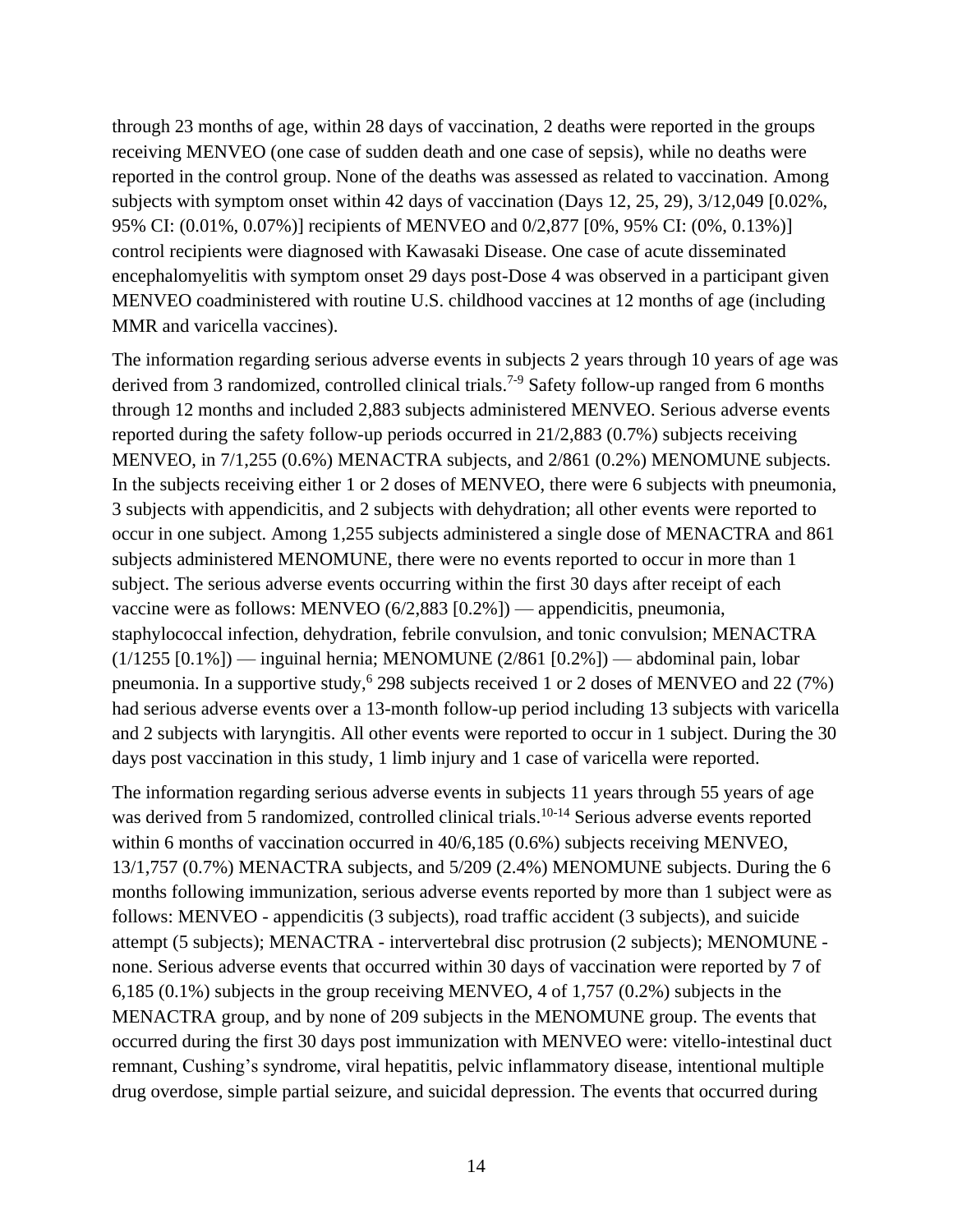through 23 months of age, within 28 days of vaccination, 2 deaths were reported in the groups receiving MENVEO (one case of sudden death and one case of sepsis), while no deaths were reported in the control group. None of the deaths was assessed as related to vaccination. Among subjects with symptom onset within 42 days of vaccination (Days 12, 25, 29), 3/12,049 [0.02%, 95% CI: (0.01%, 0.07%)] recipients of MENVEO and 0/2,877 [0%, 95% CI: (0%, 0.13%)] control recipients were diagnosed with Kawasaki Disease. One case of acute disseminated encephalomyelitis with symptom onset 29 days post-Dose 4 was observed in a participant given MENVEO coadministered with routine U.S. childhood vaccines at 12 months of age (including MMR and varicella vaccines).

The information regarding serious adverse events in subjects 2 years through 10 years of age was derived from 3 randomized, controlled clinical trials.<sup>7-9</sup> Safety follow-up ranged from 6 months through 12 months and included 2,883 subjects administered MENVEO. Serious adverse events reported during the safety follow-up periods occurred in 21/2,883 (0.7%) subjects receiving MENVEO, in 7/1,255 (0.6%) MENACTRA subjects, and 2/861 (0.2%) MENOMUNE subjects. In the subjects receiving either 1 or 2 doses of MENVEO, there were 6 subjects with pneumonia, 3 subjects with appendicitis, and 2 subjects with dehydration; all other events were reported to occur in one subject. Among 1,255 subjects administered a single dose of MENACTRA and 861 subjects administered MENOMUNE, there were no events reported to occur in more than 1 subject. The serious adverse events occurring within the first 30 days after receipt of each vaccine were as follows: MENVEO (6/2,883 [0.2%]) — appendicitis, pneumonia, staphylococcal infection, dehydration, febrile convulsion, and tonic convulsion; MENACTRA  $(1/1255 [0.1\%])$  — inguinal hernia; MENOMUNE  $(2/861 [0.2\%])$  — abdominal pain, lobar pneumonia. In a supportive study, <sup>6</sup> 298 subjects received 1 or 2 doses of MENVEO and 22 (7%) had serious adverse events over a 13-month follow-up period including 13 subjects with varicella and 2 subjects with laryngitis. All other events were reported to occur in 1 subject. During the 30 days post vaccination in this study, 1 limb injury and 1 case of varicella were reported.

The information regarding serious adverse events in subjects 11 years through 55 years of age was derived from 5 randomized, controlled clinical trials.<sup>10-14</sup> Serious adverse events reported within 6 months of vaccination occurred in 40/6,185 (0.6%) subjects receiving MENVEO, 13/1,757 (0.7%) MENACTRA subjects, and 5/209 (2.4%) MENOMUNE subjects. During the 6 months following immunization, serious adverse events reported by more than 1 subject were as follows: MENVEO - appendicitis (3 subjects), road traffic accident (3 subjects), and suicide attempt (5 subjects); MENACTRA - intervertebral disc protrusion (2 subjects); MENOMUNE none. Serious adverse events that occurred within 30 days of vaccination were reported by 7 of 6,185 (0.1%) subjects in the group receiving MENVEO, 4 of 1,757 (0.2%) subjects in the MENACTRA group, and by none of 209 subjects in the MENOMUNE group. The events that occurred during the first 30 days post immunization with MENVEO were: vitello-intestinal duct remnant, Cushing's syndrome, viral hepatitis, pelvic inflammatory disease, intentional multiple drug overdose, simple partial seizure, and suicidal depression. The events that occurred during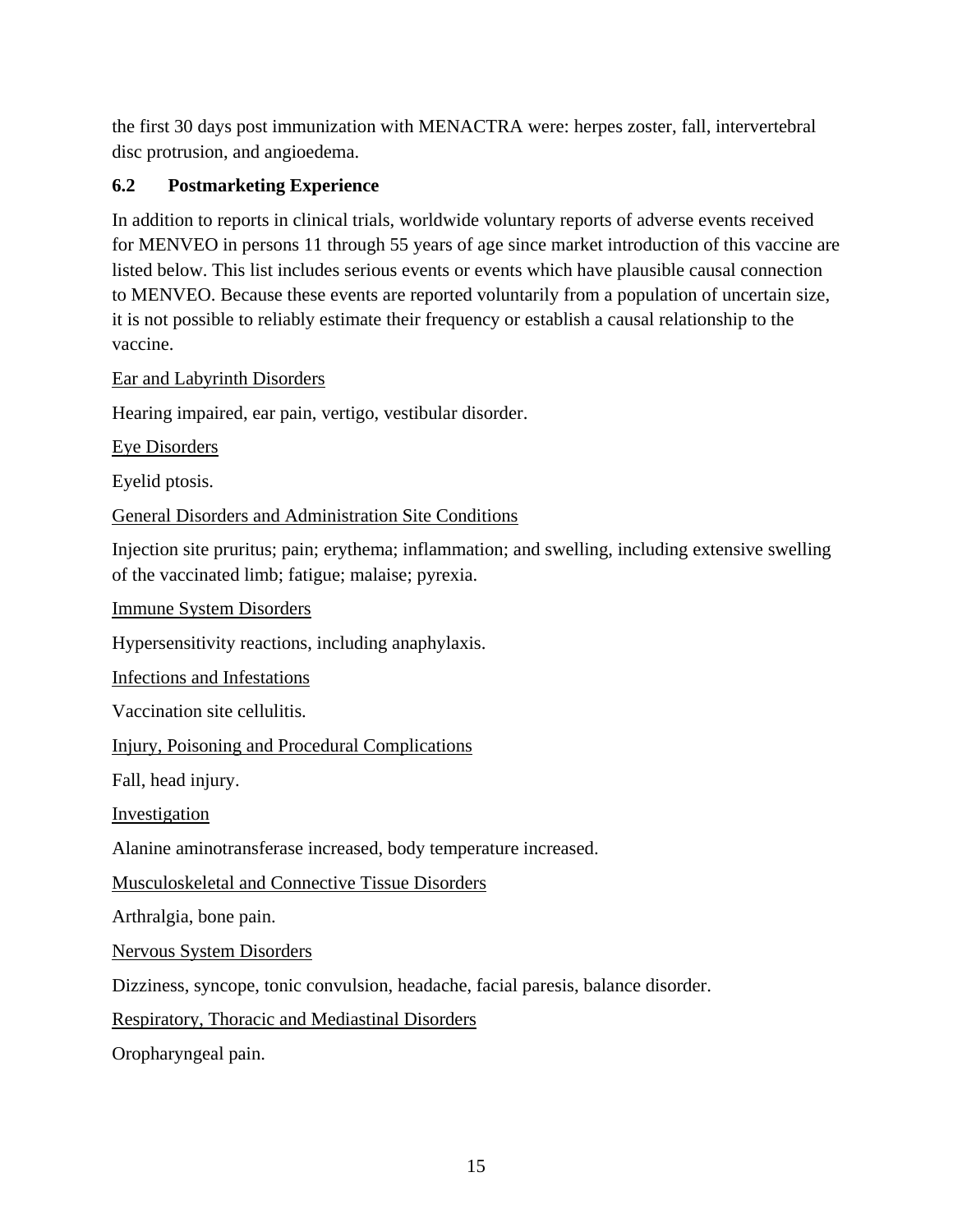the first 30 days post immunization with MENACTRA were: herpes zoster, fall, intervertebral disc protrusion, and angioedema.

## <span id="page-14-0"></span>**6.2 Postmarketing Experience**

In addition to reports in clinical trials, worldwide voluntary reports of adverse events received for MENVEO in persons 11 through 55 years of age since market introduction of this vaccine are listed below. This list includes serious events or events which have plausible causal connection to MENVEO. Because these events are reported voluntarily from a population of uncertain size, it is not possible to reliably estimate their frequency or establish a causal relationship to the vaccine.

#### Ear and Labyrinth Disorders

Hearing impaired, ear pain, vertigo, vestibular disorder.

Eye Disorders

Eyelid ptosis.

General Disorders and Administration Site Conditions

Injection site pruritus; pain; erythema; inflammation; and swelling, including extensive swelling of the vaccinated limb; fatigue; malaise; pyrexia.

Immune System Disorders

Hypersensitivity reactions, including anaphylaxis.

Infections and Infestations

Vaccination site cellulitis.

Injury, Poisoning and Procedural Complications

Fall, head injury.

Investigation

Alanine aminotransferase increased, body temperature increased.

Musculoskeletal and Connective Tissue Disorders

Arthralgia, bone pain.

Nervous System Disorders

Dizziness, syncope, tonic convulsion, headache, facial paresis, balance disorder.

Respiratory, Thoracic and Mediastinal Disorders

Oropharyngeal pain.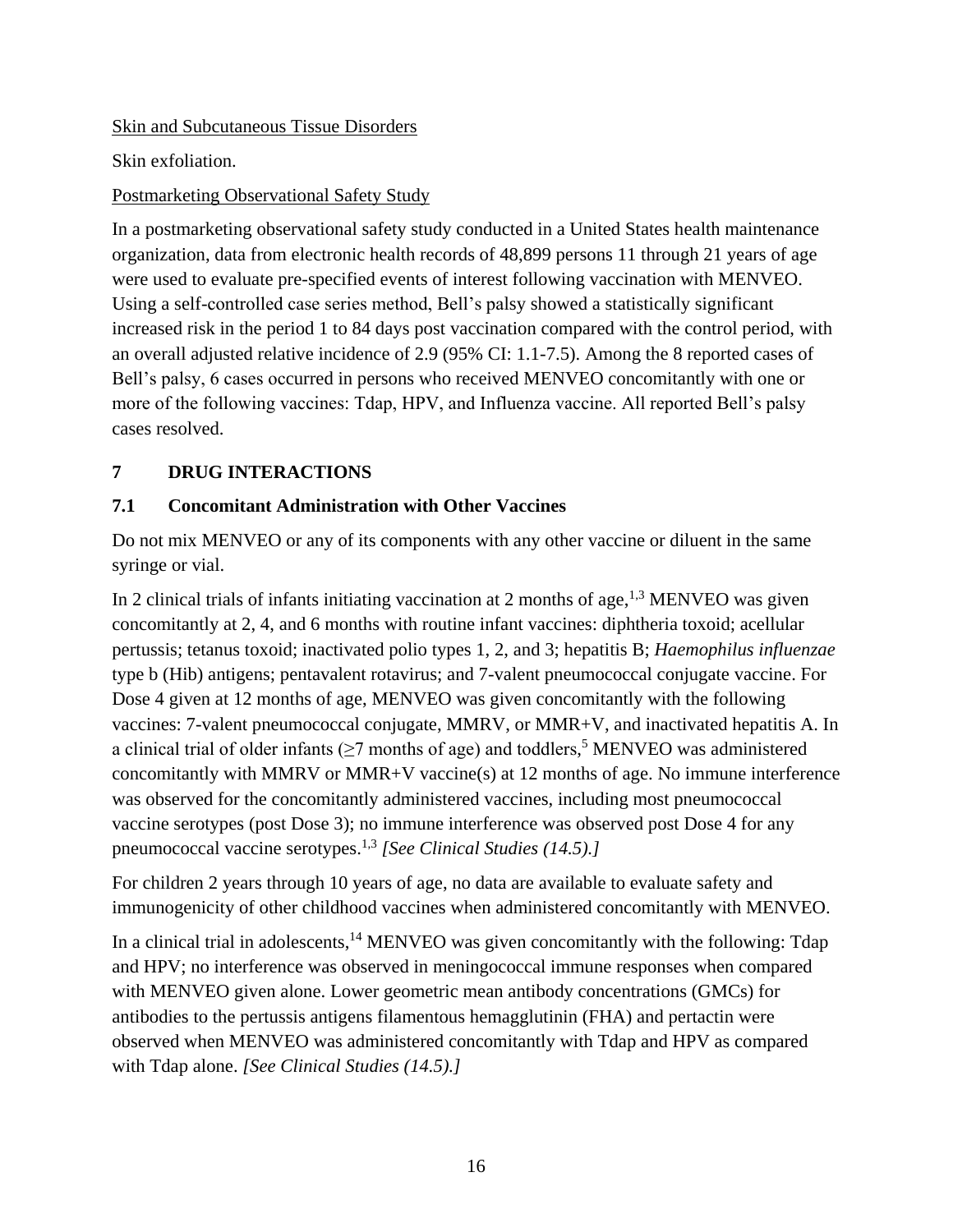Skin and Subcutaneous Tissue Disorders

Skin exfoliation.

## Postmarketing Observational Safety Study

In a postmarketing observational safety study conducted in a United States health maintenance organization, data from electronic health records of 48,899 persons 11 through 21 years of age were used to evaluate pre-specified events of interest following vaccination with MENVEO. Using a self-controlled case series method, Bell's palsy showed a statistically significant increased risk in the period 1 to 84 days post vaccination compared with the control period, with an overall adjusted relative incidence of 2.9 (95% CI: 1.1-7.5). Among the 8 reported cases of Bell's palsy, 6 cases occurred in persons who received MENVEO concomitantly with one or more of the following vaccines: Tdap, HPV, and Influenza vaccine. All reported Bell's palsy cases resolved.

# <span id="page-15-0"></span>**7 DRUG INTERACTIONS**

## <span id="page-15-1"></span>**7.1 Concomitant Administration with Other Vaccines**

Do not mix MENVEO or any of its components with any other vaccine or diluent in the same syringe or vial.

In 2 clinical trials of infants initiating vaccination at 2 months of age,  $1.3$  MENVEO was given concomitantly at 2, 4, and 6 months with routine infant vaccines: diphtheria toxoid; acellular pertussis; tetanus toxoid; inactivated polio types 1, 2, and 3; hepatitis B; *Haemophilus influenzae* type b (Hib) antigens; pentavalent rotavirus; and 7-valent pneumococcal conjugate vaccine. For Dose 4 given at 12 months of age, MENVEO was given concomitantly with the following vaccines: 7-valent pneumococcal conjugate, MMRV, or MMR+V, and inactivated hepatitis A. In a clinical trial of older infants ( $\geq$ 7 months of age) and toddlers,<sup>5</sup> MENVEO was administered concomitantly with MMRV or MMR+V vaccine(s) at 12 months of age. No immune interference was observed for the concomitantly administered vaccines, including most pneumococcal vaccine serotypes (post Dose 3); no immune interference was observed post Dose 4 for any pneumococcal vaccine serotypes. 1,3 *[See Clinical Studies (14.5).]*

For children 2 years through 10 years of age, no data are available to evaluate safety and immunogenicity of other childhood vaccines when administered concomitantly with MENVEO.

In a clinical trial in adolescents,<sup>14</sup> MENVEO was given concomitantly with the following: Tdap and HPV; no interference was observed in meningococcal immune responses when compared with MENVEO given alone. Lower geometric mean antibody concentrations (GMCs) for antibodies to the pertussis antigens filamentous hemagglutinin (FHA) and pertactin were observed when MENVEO was administered concomitantly with Tdap and HPV as compared with Tdap alone. *[See Clinical Studies (14.5).]*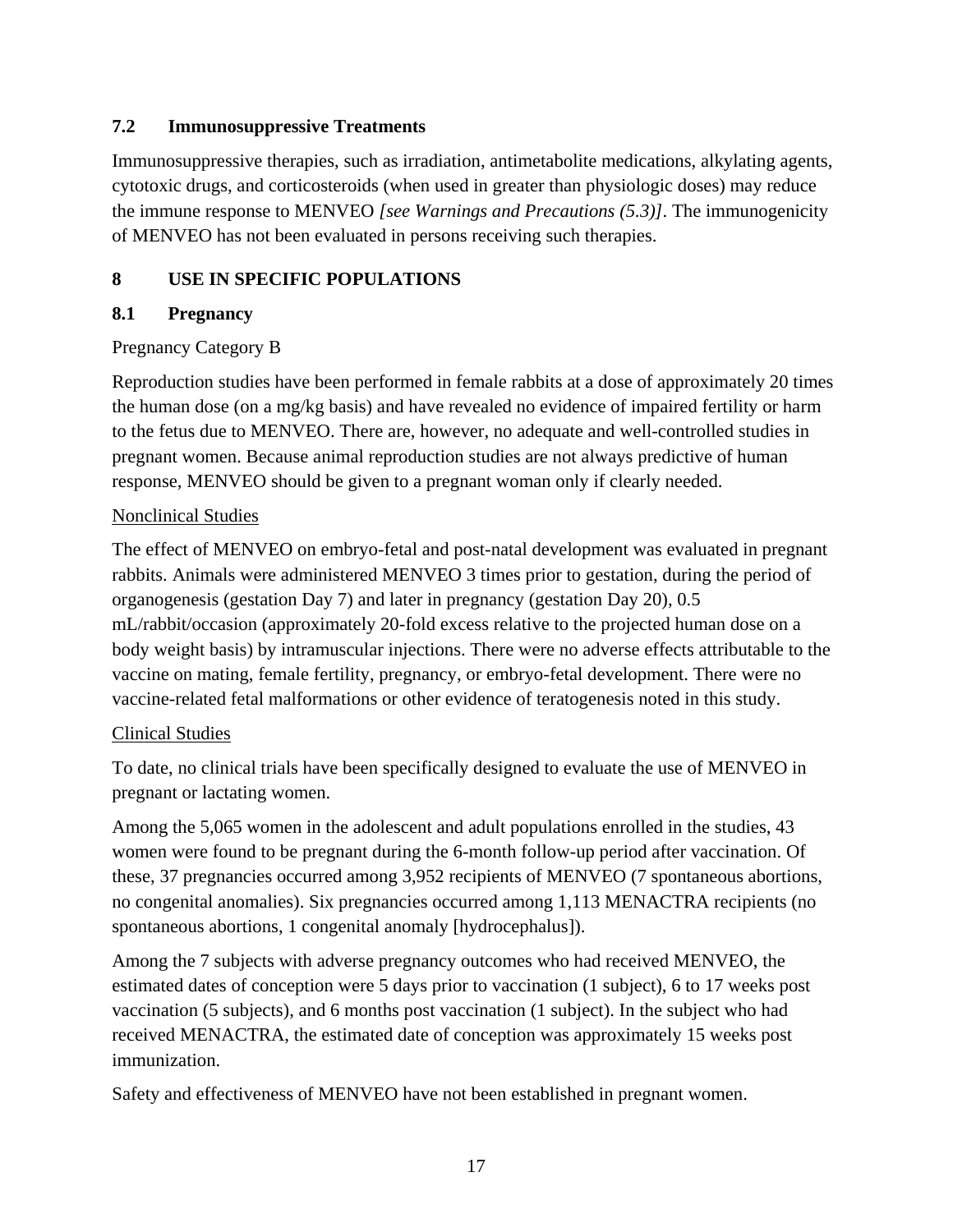### <span id="page-16-0"></span>**7.2 Immunosuppressive Treatments**

Immunosuppressive therapies, such as irradiation, antimetabolite medications, alkylating agents, cytotoxic drugs, and corticosteroids (when used in greater than physiologic doses) may reduce the immune response to MENVEO *[see Warnings and Precautions (5.3)]*. The immunogenicity of MENVEO has not been evaluated in persons receiving such therapies.

## <span id="page-16-1"></span>**8 USE IN SPECIFIC POPULATIONS**

## <span id="page-16-2"></span>**8.1 Pregnancy**

## Pregnancy Category B

Reproduction studies have been performed in female rabbits at a dose of approximately 20 times the human dose (on a mg/kg basis) and have revealed no evidence of impaired fertility or harm to the fetus due to MENVEO. There are, however, no adequate and well-controlled studies in pregnant women. Because animal reproduction studies are not always predictive of human response, MENVEO should be given to a pregnant woman only if clearly needed.

## Nonclinical Studies

The effect of MENVEO on embryo-fetal and post-natal development was evaluated in pregnant rabbits. Animals were administered MENVEO 3 times prior to gestation, during the period of organogenesis (gestation Day 7) and later in pregnancy (gestation Day 20), 0.5 mL/rabbit/occasion (approximately 20-fold excess relative to the projected human dose on a body weight basis) by intramuscular injections. There were no adverse effects attributable to the vaccine on mating, female fertility, pregnancy, or embryo-fetal development. There were no vaccine-related fetal malformations or other evidence of teratogenesis noted in this study.

## Clinical Studies

To date, no clinical trials have been specifically designed to evaluate the use of MENVEO in pregnant or lactating women.

Among the 5,065 women in the adolescent and adult populations enrolled in the studies, 43 women were found to be pregnant during the 6-month follow-up period after vaccination. Of these, 37 pregnancies occurred among 3,952 recipients of MENVEO (7 spontaneous abortions, no congenital anomalies). Six pregnancies occurred among 1,113 MENACTRA recipients (no spontaneous abortions, 1 congenital anomaly [hydrocephalus]).

Among the 7 subjects with adverse pregnancy outcomes who had received MENVEO, the estimated dates of conception were 5 days prior to vaccination (1 subject), 6 to 17 weeks post vaccination (5 subjects), and 6 months post vaccination (1 subject). In the subject who had received MENACTRA, the estimated date of conception was approximately 15 weeks post immunization.

Safety and effectiveness of MENVEO have not been established in pregnant women.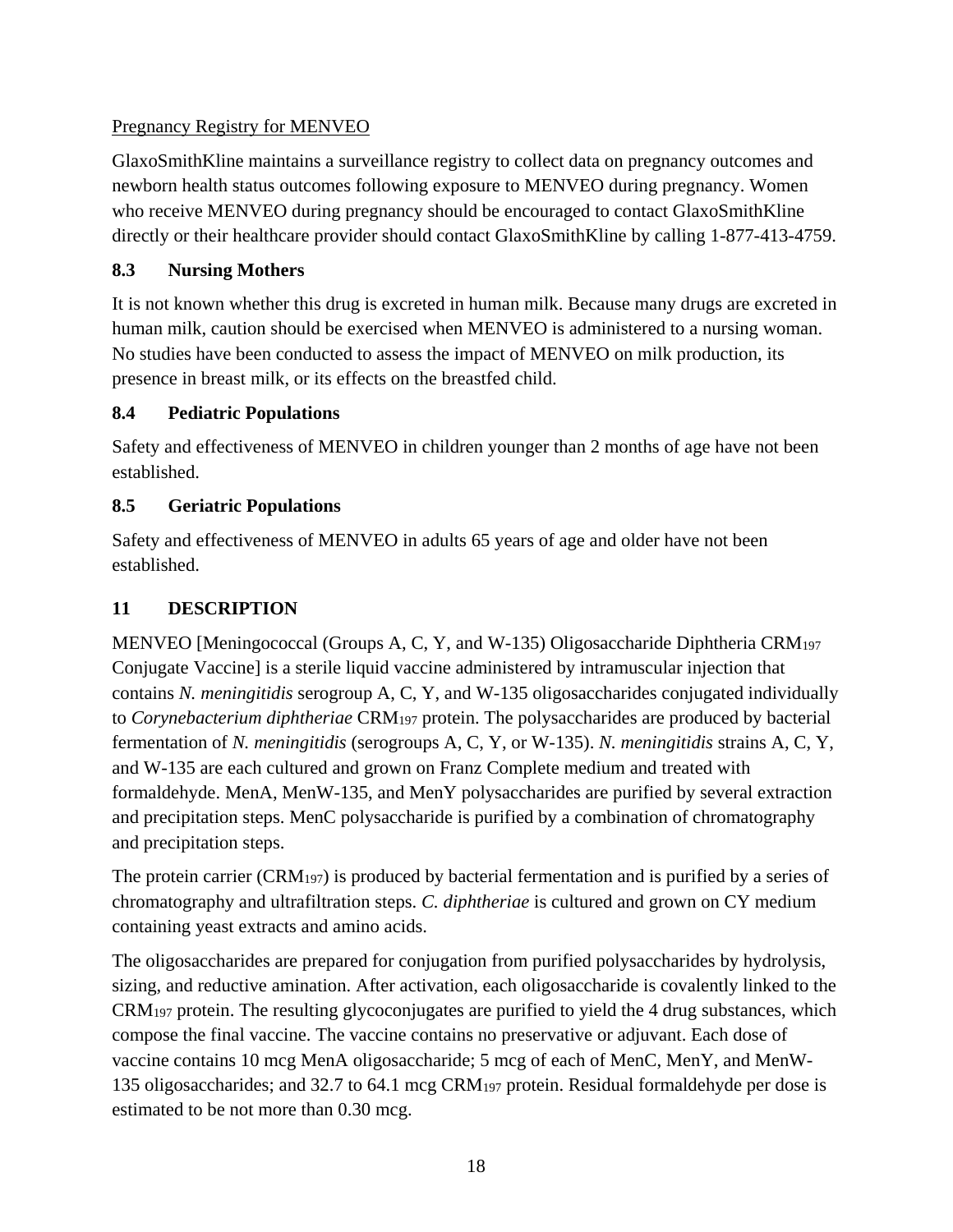## Pregnancy Registry for MENVEO

GlaxoSmithKline maintains a surveillance registry to collect data on pregnancy outcomes and newborn health status outcomes following exposure to MENVEO during pregnancy. Women who receive MENVEO during pregnancy should be encouraged to contact GlaxoSmithKline directly or their healthcare provider should contact GlaxoSmithKline by calling 1-877-413-4759.

## <span id="page-17-0"></span>**8.3 Nursing Mothers**

It is not known whether this drug is excreted in human milk. Because many drugs are excreted in human milk, caution should be exercised when MENVEO is administered to a nursing woman. No studies have been conducted to assess the impact of MENVEO on milk production, its presence in breast milk, or its effects on the breastfed child.

## <span id="page-17-1"></span>**8.4 Pediatric Populations**

Safety and effectiveness of MENVEO in children younger than 2 months of age have not been established.

## <span id="page-17-2"></span>**8.5 Geriatric Populations**

Safety and effectiveness of MENVEO in adults 65 years of age and older have not been established.

## <span id="page-17-3"></span>**11 DESCRIPTION**

MENVEO [Meningococcal (Groups A, C, Y, and W-135) Oligosaccharide Diphtheria CRM<sup>197</sup> Conjugate Vaccine] is a sterile liquid vaccine administered by intramuscular injection that contains *N. meningitidis* serogroup A, C, Y, and W-135 oligosaccharides conjugated individually to *Corynebacterium diphtheriae* CRM<sup>197</sup> protein. The polysaccharides are produced by bacterial fermentation of *N. meningitidis* (serogroups A, C, Y, or W-135). *N. meningitidis* strains A, C, Y, and W-135 are each cultured and grown on Franz Complete medium and treated with formaldehyde. MenA, MenW-135, and MenY polysaccharides are purified by several extraction and precipitation steps. MenC polysaccharide is purified by a combination of chromatography and precipitation steps.

The protein carrier (CRM197) is produced by bacterial fermentation and is purified by a series of chromatography and ultrafiltration steps. *C. diphtheriae* is cultured and grown on CY medium containing yeast extracts and amino acids.

The oligosaccharides are prepared for conjugation from purified polysaccharides by hydrolysis, sizing, and reductive amination. After activation, each oligosaccharide is covalently linked to the CRM<sup>197</sup> protein. The resulting glycoconjugates are purified to yield the 4 drug substances, which compose the final vaccine. The vaccine contains no preservative or adjuvant. Each dose of vaccine contains 10 mcg MenA oligosaccharide; 5 mcg of each of MenC, MenY, and MenW-135 oligosaccharides; and 32.7 to 64.1 mcg CRM<sup>197</sup> protein. Residual formaldehyde per dose is estimated to be not more than 0.30 mcg.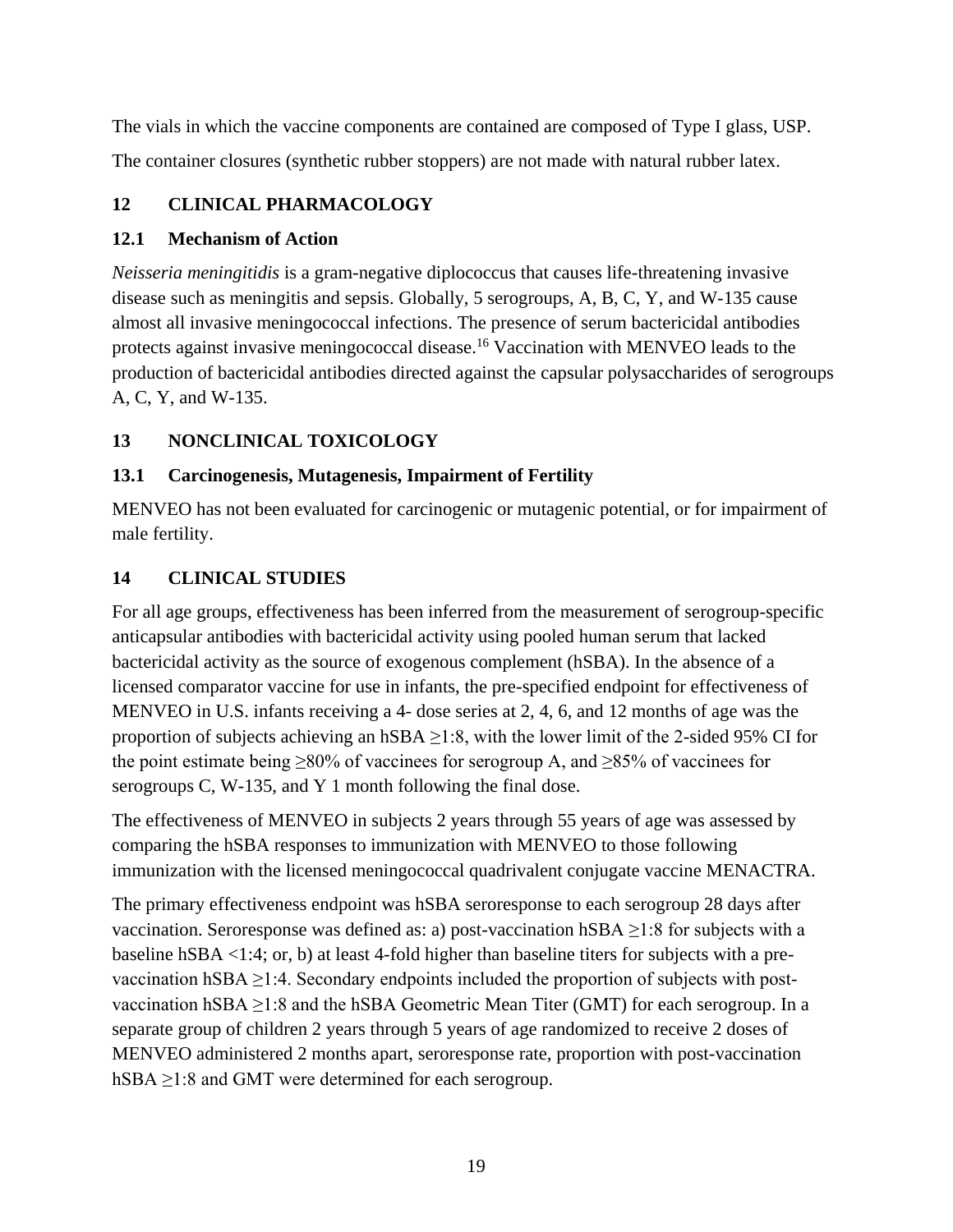The vials in which the vaccine components are contained are composed of Type I glass, USP. The container closures (synthetic rubber stoppers) are not made with natural rubber latex.

# <span id="page-18-0"></span>**12 CLINICAL PHARMACOLOGY**

## <span id="page-18-1"></span>**12.1 Mechanism of Action**

*Neisseria meningitidis* is a gram-negative diplococcus that causes life-threatening invasive disease such as meningitis and sepsis. Globally, 5 serogroups, A, B, C, Y, and W-135 cause almost all invasive meningococcal infections. The presence of serum bactericidal antibodies protects against invasive meningococcal disease.<sup>16</sup> Vaccination with MENVEO leads to the production of bactericidal antibodies directed against the capsular polysaccharides of serogroups A, C, Y, and W-135.

# <span id="page-18-2"></span>**13 NONCLINICAL TOXICOLOGY**

## <span id="page-18-3"></span>**13.1 Carcinogenesis, Mutagenesis, Impairment of Fertility**

MENVEO has not been evaluated for carcinogenic or mutagenic potential, or for impairment of male fertility.

## <span id="page-18-4"></span>**14 CLINICAL STUDIES**

For all age groups, effectiveness has been inferred from the measurement of serogroup-specific anticapsular antibodies with bactericidal activity using pooled human serum that lacked bactericidal activity as the source of exogenous complement (hSBA). In the absence of a licensed comparator vaccine for use in infants, the pre-specified endpoint for effectiveness of MENVEO in U.S. infants receiving a 4- dose series at 2, 4, 6, and 12 months of age was the proportion of subjects achieving an hSBA  $\geq$ 1:8, with the lower limit of the 2-sided 95% CI for the point estimate being  $\geq 80\%$  of vaccinees for serogroup A, and  $\geq 85\%$  of vaccinees for serogroups C, W-135, and Y 1 month following the final dose.

The effectiveness of MENVEO in subjects 2 years through 55 years of age was assessed by comparing the hSBA responses to immunization with MENVEO to those following immunization with the licensed meningococcal quadrivalent conjugate vaccine MENACTRA.

The primary effectiveness endpoint was hSBA seroresponse to each serogroup 28 days after vaccination. Seroresponse was defined as: a) post-vaccination hSBA  $\geq$ 1:8 for subjects with a baseline hSBA <1:4; or, b) at least 4-fold higher than baseline titers for subjects with a prevaccination hSBA  $\geq$ 1:4. Secondary endpoints included the proportion of subjects with postvaccination hSBA  $\geq$ 1:8 and the hSBA Geometric Mean Titer (GMT) for each serogroup. In a separate group of children 2 years through 5 years of age randomized to receive 2 doses of MENVEO administered 2 months apart, seroresponse rate, proportion with post-vaccination hSBA  $\geq$ 1:8 and GMT were determined for each serogroup.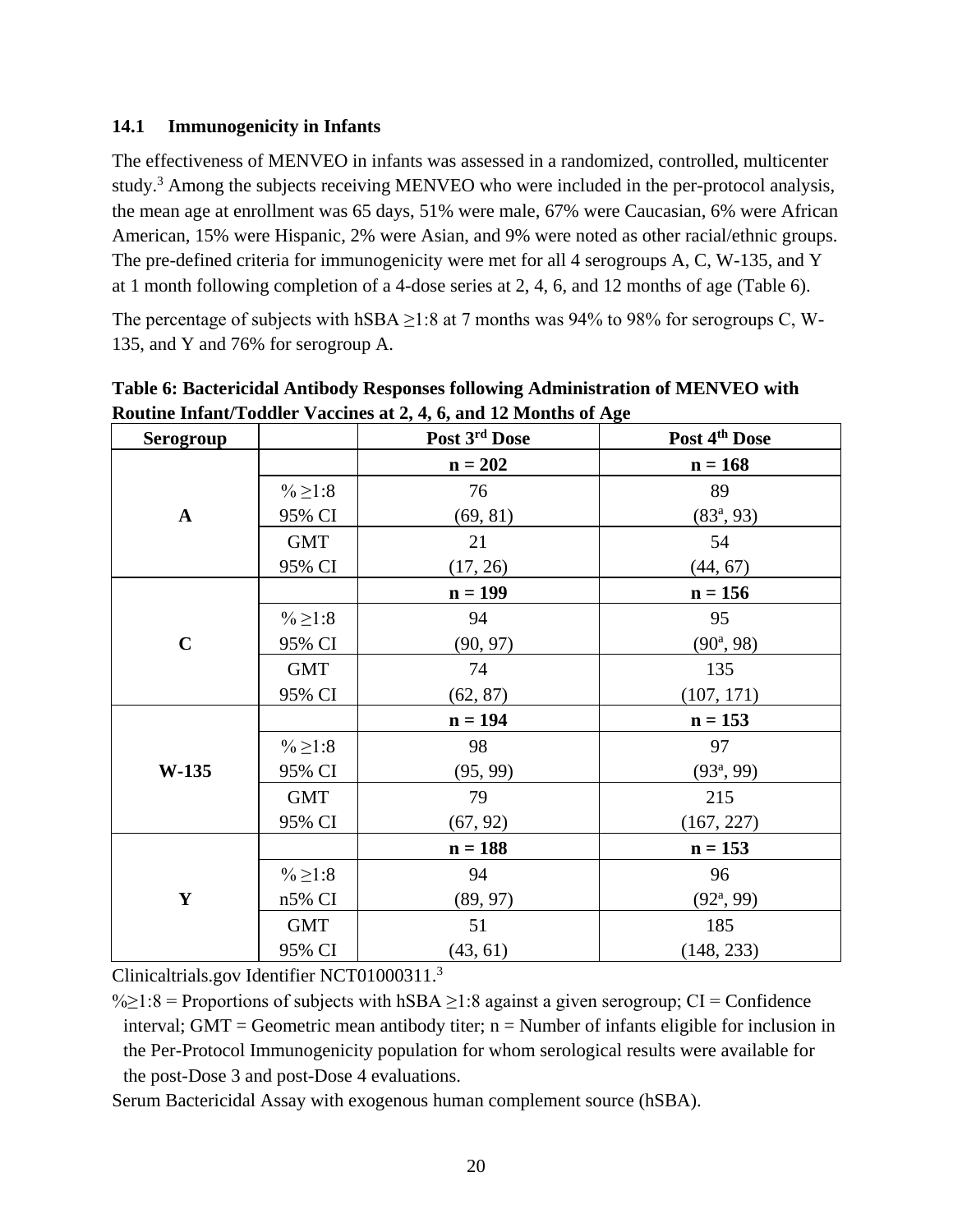#### <span id="page-19-0"></span>**14.1 Immunogenicity in Infants**

The effectiveness of MENVEO in infants was assessed in a randomized, controlled, multicenter study.<sup>3</sup> Among the subjects receiving MENVEO who were included in the per-protocol analysis, the mean age at enrollment was 65 days, 51% were male, 67% were Caucasian, 6% were African American, 15% were Hispanic, 2% were Asian, and 9% were noted as other racial/ethnic groups. The pre-defined criteria for immunogenicity were met for all 4 serogroups A, C, W-135, and Y at 1 month following completion of a 4-dose series at 2, 4, 6, and 12 months of age (Table 6).

The percentage of subjects with hSBA  $\geq$ 1:8 at 7 months was 94% to 98% for serogroups C, W-135, and Y and 76% for serogroup A.

| Serogroup    |                    | Post 3rd Dose | Post 4 <sup>th</sup> Dose |
|--------------|--------------------|---------------|---------------------------|
|              |                    | $n = 202$     | $n = 168$                 |
|              | % ≥ 1:8            | 76            | 89                        |
| $\mathbf{A}$ | 95% CI             | (69, 81)      | $(83^a, 93)$              |
|              | <b>GMT</b>         | 21            | 54                        |
|              | 95% CI             | (17, 26)      | (44, 67)                  |
|              |                    | $n = 199$     | $n = 156$                 |
|              | $\frac{0}{6}$ ≥1:8 | 94            | 95                        |
| $\mathbf C$  | 95% CI             | (90, 97)      | $(90^a, 98)$              |
|              | <b>GMT</b>         | 74            | 135                       |
|              | 95% CI             | (62, 87)      | (107, 171)                |
|              |                    | $n = 194$     | $n = 153$                 |
|              | $\frac{0}{6}$ ≥1:8 | 98            | 97                        |
| $W-135$      | 95% CI             | (95, 99)      | $(93^a, 99)$              |
|              | <b>GMT</b>         | 79            | 215                       |
|              | 95% CI             | (67, 92)      | (167, 227)                |
|              |                    | $n = 188$     | $n = 153$                 |
|              | $\frac{0}{6}$ ≥1:8 | 94            | 96                        |
| $\mathbf Y$  | $n5\%$ CI          | (89, 97)      | $(92^a, 99)$              |
|              | <b>GMT</b>         | 51            | 185                       |
|              | 95% CI             | (43, 61)      | (148, 233)                |

**Table 6: Bactericidal Antibody Responses following Administration of MENVEO with Routine Infant/Toddler Vaccines at 2, 4, 6, and 12 Months of Age**

Clinicaltrials.gov Identifier NCT01000311. 3

% $\ge$ 1:8 = Proportions of subjects with hSBA  $\ge$ 1:8 against a given serogroup; CI = Confidence interval; GMT = Geometric mean antibody titer;  $n =$  Number of infants eligible for inclusion in the Per-Protocol Immunogenicity population for whom serological results were available for the post-Dose 3 and post-Dose 4 evaluations.

Serum Bactericidal Assay with exogenous human complement source (hSBA).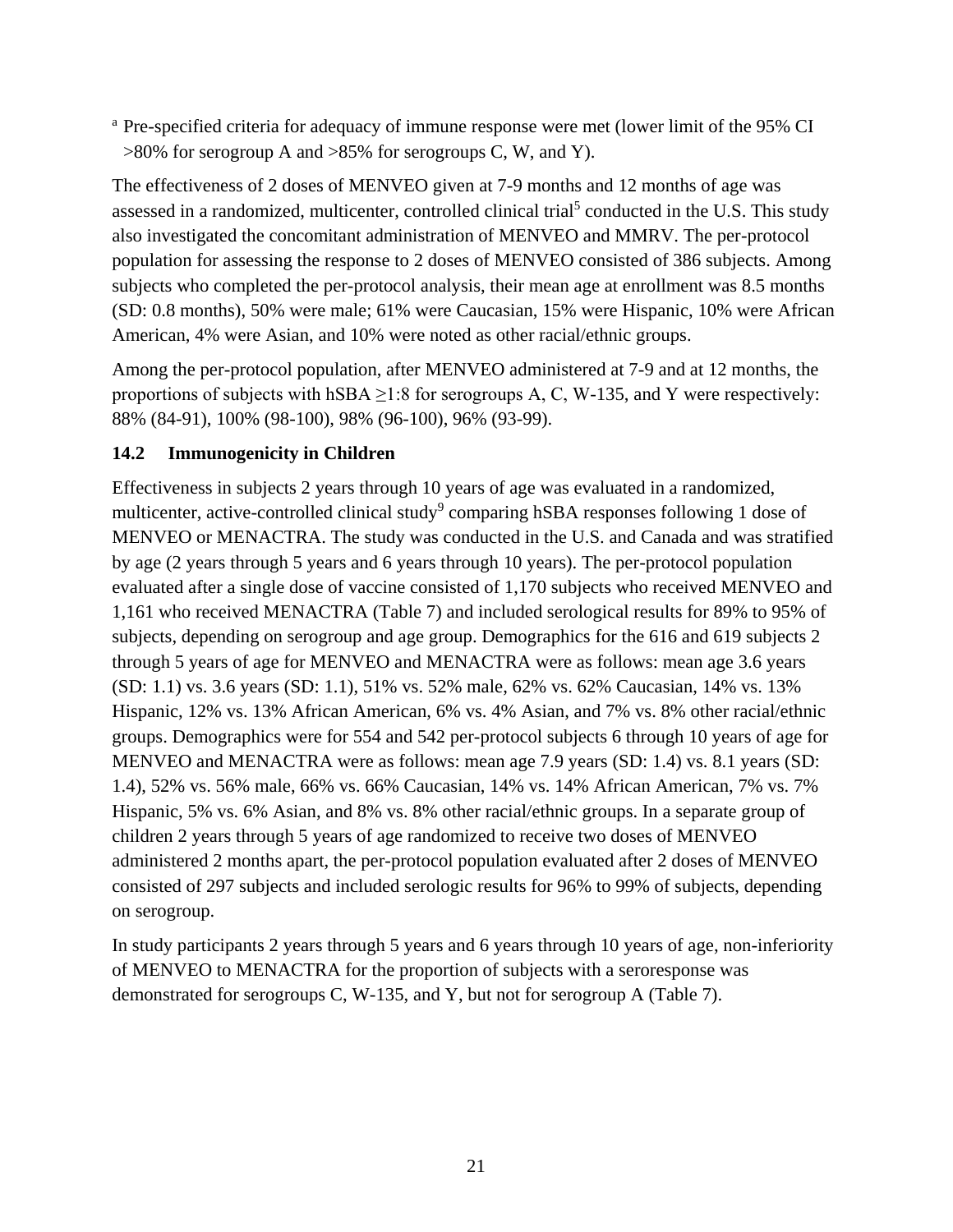<sup>a</sup> Pre-specified criteria for adequacy of immune response were met (lower limit of the 95% CI >80% for serogroup A and >85% for serogroups C, W, and Y).

The effectiveness of 2 doses of MENVEO given at 7-9 months and 12 months of age was assessed in a randomized, multicenter, controlled clinical trial<sup>5</sup> conducted in the U.S. This study also investigated the concomitant administration of MENVEO and MMRV. The per-protocol population for assessing the response to 2 doses of MENVEO consisted of 386 subjects. Among subjects who completed the per-protocol analysis, their mean age at enrollment was 8.5 months (SD: 0.8 months), 50% were male; 61% were Caucasian, 15% were Hispanic, 10% were African American, 4% were Asian, and 10% were noted as other racial/ethnic groups.

Among the per-protocol population, after MENVEO administered at 7-9 and at 12 months, the proportions of subjects with hSBA  $\geq$ 1:8 for serogroups A, C, W-135, and Y were respectively: 88% (84-91), 100% (98-100), 98% (96-100), 96% (93-99).

## <span id="page-20-0"></span>**14.2 Immunogenicity in Children**

Effectiveness in subjects 2 years through 10 years of age was evaluated in a randomized, multicenter, active-controlled clinical study<sup>9</sup> comparing hSBA responses following 1 dose of MENVEO or MENACTRA. The study was conducted in the U.S. and Canada and was stratified by age (2 years through 5 years and 6 years through 10 years). The per-protocol population evaluated after a single dose of vaccine consisted of 1,170 subjects who received MENVEO and 1,161 who received MENACTRA (Table 7) and included serological results for 89% to 95% of subjects, depending on serogroup and age group. Demographics for the 616 and 619 subjects 2 through 5 years of age for MENVEO and MENACTRA were as follows: mean age 3.6 years (SD: 1.1) vs. 3.6 years (SD: 1.1), 51% vs. 52% male, 62% vs. 62% Caucasian, 14% vs. 13% Hispanic, 12% vs. 13% African American, 6% vs. 4% Asian, and 7% vs. 8% other racial/ethnic groups. Demographics were for 554 and 542 per-protocol subjects 6 through 10 years of age for MENVEO and MENACTRA were as follows: mean age 7.9 years (SD: 1.4) vs. 8.1 years (SD: 1.4), 52% vs. 56% male, 66% vs. 66% Caucasian, 14% vs. 14% African American, 7% vs. 7% Hispanic, 5% vs. 6% Asian, and 8% vs. 8% other racial/ethnic groups. In a separate group of children 2 years through 5 years of age randomized to receive two doses of MENVEO administered 2 months apart, the per-protocol population evaluated after 2 doses of MENVEO consisted of 297 subjects and included serologic results for 96% to 99% of subjects, depending on serogroup.

In study participants 2 years through 5 years and 6 years through 10 years of age, non-inferiority of MENVEO to MENACTRA for the proportion of subjects with a seroresponse was demonstrated for serogroups C, W-135, and Y, but not for serogroup A (Table 7).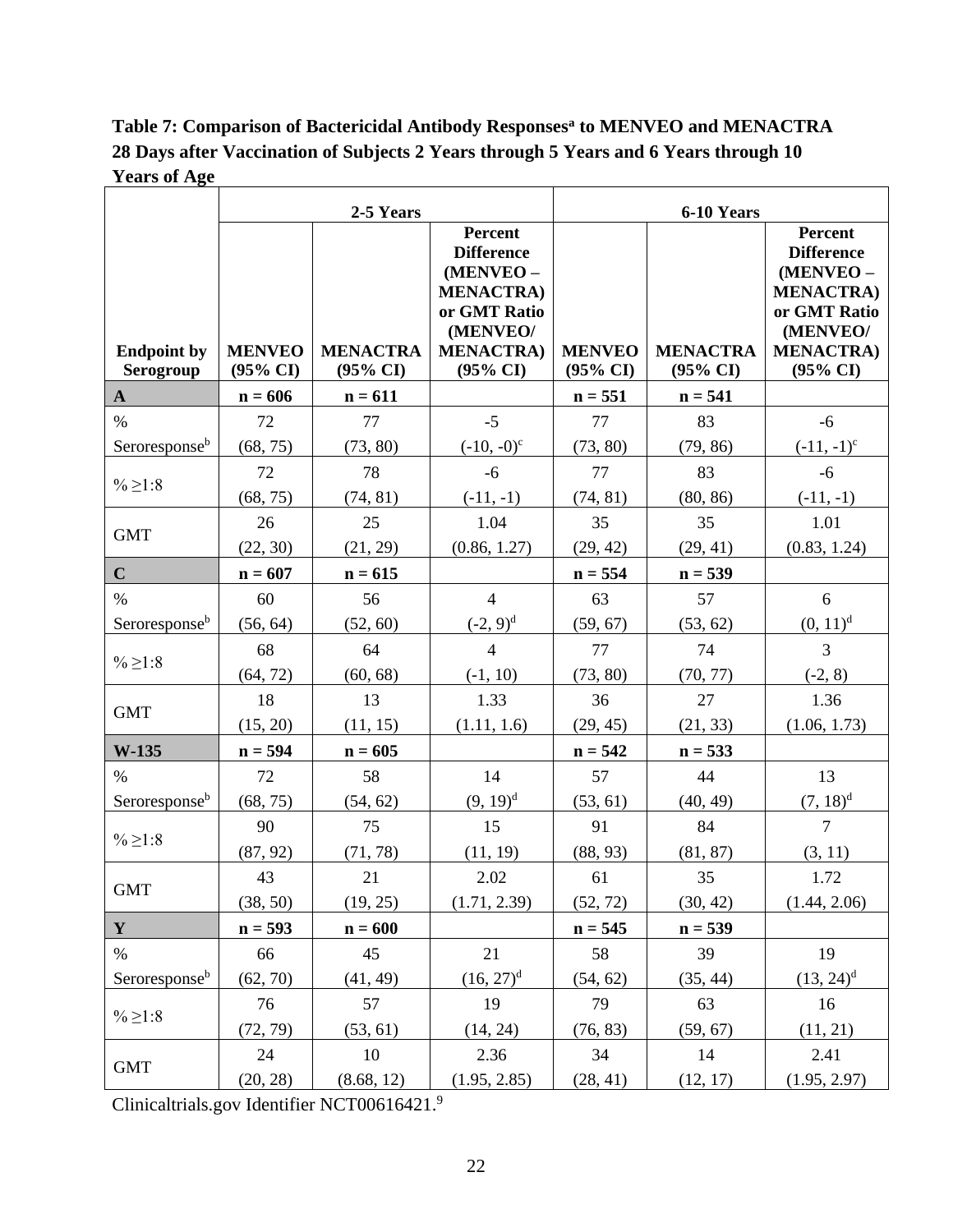**Table 7: Comparison of Bactericidal Antibody Responses<sup>a</sup> to MENVEO and MENACTRA 28 Days after Vaccination of Subjects 2 Years through 5 Years and 6 Years through 10 Years of Age**

|                                 | 2-5 Years                            |                                        | 6-10 Years                                                                                                                                  |                                      |                                        |                                                                                                                                     |
|---------------------------------|--------------------------------------|----------------------------------------|---------------------------------------------------------------------------------------------------------------------------------------------|--------------------------------------|----------------------------------------|-------------------------------------------------------------------------------------------------------------------------------------|
| <b>Endpoint by</b><br>Serogroup | <b>MENVEO</b><br>$(95\% \text{ CI})$ | <b>MENACTRA</b><br>$(95\% \text{ CI})$ | <b>Percent</b><br><b>Difference</b><br>(MENVEO -<br><b>MENACTRA)</b><br>or GMT Ratio<br>(MENVEO/<br><b>MENACTRA)</b><br>$(95\% \text{ CI})$ | <b>MENVEO</b><br>$(95\% \text{ CI})$ | <b>MENACTRA</b><br>$(95\% \text{ CI})$ | Percent<br><b>Difference</b><br>(MENVEO-<br><b>MENACTRA)</b><br>or GMT Ratio<br>(MENVEO/<br><b>MENACTRA)</b><br>$(95\% \text{ CI})$ |
| $\mathbf{A}$                    | $n = 606$                            | $n = 611$                              |                                                                                                                                             | $n = 551$                            | $n = 541$                              |                                                                                                                                     |
| $\%$                            | 72                                   | 77                                     | $-5$                                                                                                                                        | 77                                   | 83                                     | $-6$                                                                                                                                |
| Seroresponse <sup>b</sup>       | (68, 75)                             | (73, 80)                               | $(-10, -0)^c$                                                                                                                               | (73, 80)                             | (79, 86)                               | $(-11, -1)^{c}$                                                                                                                     |
|                                 | 72                                   | 78                                     | $-6$                                                                                                                                        | 77                                   | 83                                     | $-6$                                                                                                                                |
| $%$ ≥1:8                        | (68, 75)                             | (74, 81)                               | $(-11,-1)$                                                                                                                                  | (74, 81)                             | (80, 86)                               | $(-11, -1)$                                                                                                                         |
| <b>GMT</b>                      | 26                                   | 25                                     | 1.04                                                                                                                                        | 35                                   | 35                                     | 1.01                                                                                                                                |
|                                 | (22, 30)                             | (21, 29)                               | (0.86, 1.27)                                                                                                                                | (29, 42)                             | (29, 41)                               | (0.83, 1.24)                                                                                                                        |
| $\mathbf C$                     | $n = 607$                            | $n = 615$                              |                                                                                                                                             | $n = 554$                            | $n = 539$                              |                                                                                                                                     |
| $\%$                            | 60                                   | 56                                     | $\overline{4}$                                                                                                                              | 63                                   | 57                                     | 6                                                                                                                                   |
| Seroresponse <sup>b</sup>       | (56, 64)                             | (52, 60)                               | $(-2, 9)^d$                                                                                                                                 | (59, 67)                             | (53, 62)                               | $(0, 11)^d$                                                                                                                         |
| $%$ ≥1:8                        | 68                                   | 64                                     | $\overline{4}$                                                                                                                              | 77                                   | 74                                     | 3                                                                                                                                   |
|                                 | (64, 72)                             | (60, 68)                               | $(-1, 10)$                                                                                                                                  | (73, 80)                             | (70, 77)                               | $(-2, 8)$                                                                                                                           |
| <b>GMT</b>                      | 18                                   | 13                                     | 1.33                                                                                                                                        | 36                                   | 27                                     | 1.36                                                                                                                                |
|                                 | (15, 20)                             | (11, 15)                               | (1.11, 1.6)                                                                                                                                 | (29, 45)                             | (21, 33)                               | (1.06, 1.73)                                                                                                                        |
| W-135                           | $n = 594$                            | $n = 605$                              |                                                                                                                                             | $n = 542$                            | $n = 533$                              |                                                                                                                                     |
| $\%$                            | 72                                   | 58                                     | 14                                                                                                                                          | 57                                   | 44                                     | 13                                                                                                                                  |
| Seroresponse <sup>b</sup>       | (68, 75)                             | (54, 62)                               | $(9, 19)^d$                                                                                                                                 | (53, 61)                             | (40, 49)                               | $(7, 18)^d$                                                                                                                         |
| $%$ ≥1:8                        | 90                                   | 75                                     | 15                                                                                                                                          | 91                                   | 84                                     | $\overline{7}$                                                                                                                      |
|                                 | (87, 92)                             | (71, 78)                               | (11, 19)                                                                                                                                    | (88, 93)                             | (81, 87)                               | (3, 11)                                                                                                                             |
| <b>GMT</b>                      | 43                                   | 21                                     | 2.02                                                                                                                                        | 61                                   | 35                                     | 1.72                                                                                                                                |
|                                 | (38, 50)                             | (19, 25)                               | (1.71, 2.39)                                                                                                                                | (52, 72)                             | (30, 42)                               | (1.44, 2.06)                                                                                                                        |
| $\mathbf Y$                     | $n = 593$                            | $n = 600$                              |                                                                                                                                             | $n = 545$                            | $n = 539$                              |                                                                                                                                     |
| $\%$                            | 66                                   | 45                                     | 21                                                                                                                                          | 58                                   | 39                                     | 19                                                                                                                                  |
| Seroresponse <sup>b</sup>       | (62, 70)                             | (41, 49)                               | $(16, 27)^d$                                                                                                                                | (54, 62)                             | (35, 44)                               | $(13, 24)^d$                                                                                                                        |
|                                 | 76                                   | 57                                     | 19                                                                                                                                          | 79                                   | 63                                     | 16                                                                                                                                  |
| % ≥ 1:8                         | (72, 79)                             | (53, 61)                               | (14, 24)                                                                                                                                    | (76, 83)                             | (59, 67)                               | (11, 21)                                                                                                                            |
|                                 | 24                                   | 10                                     | 2.36                                                                                                                                        | 34                                   | 14                                     | 2.41                                                                                                                                |
| <b>GMT</b>                      | (20, 28)                             | (8.68, 12)                             | (1.95, 2.85)                                                                                                                                | (28, 41)                             | (12, 17)                               | (1.95, 2.97)                                                                                                                        |

Clinicaltrials.gov Identifier NCT00616421. 9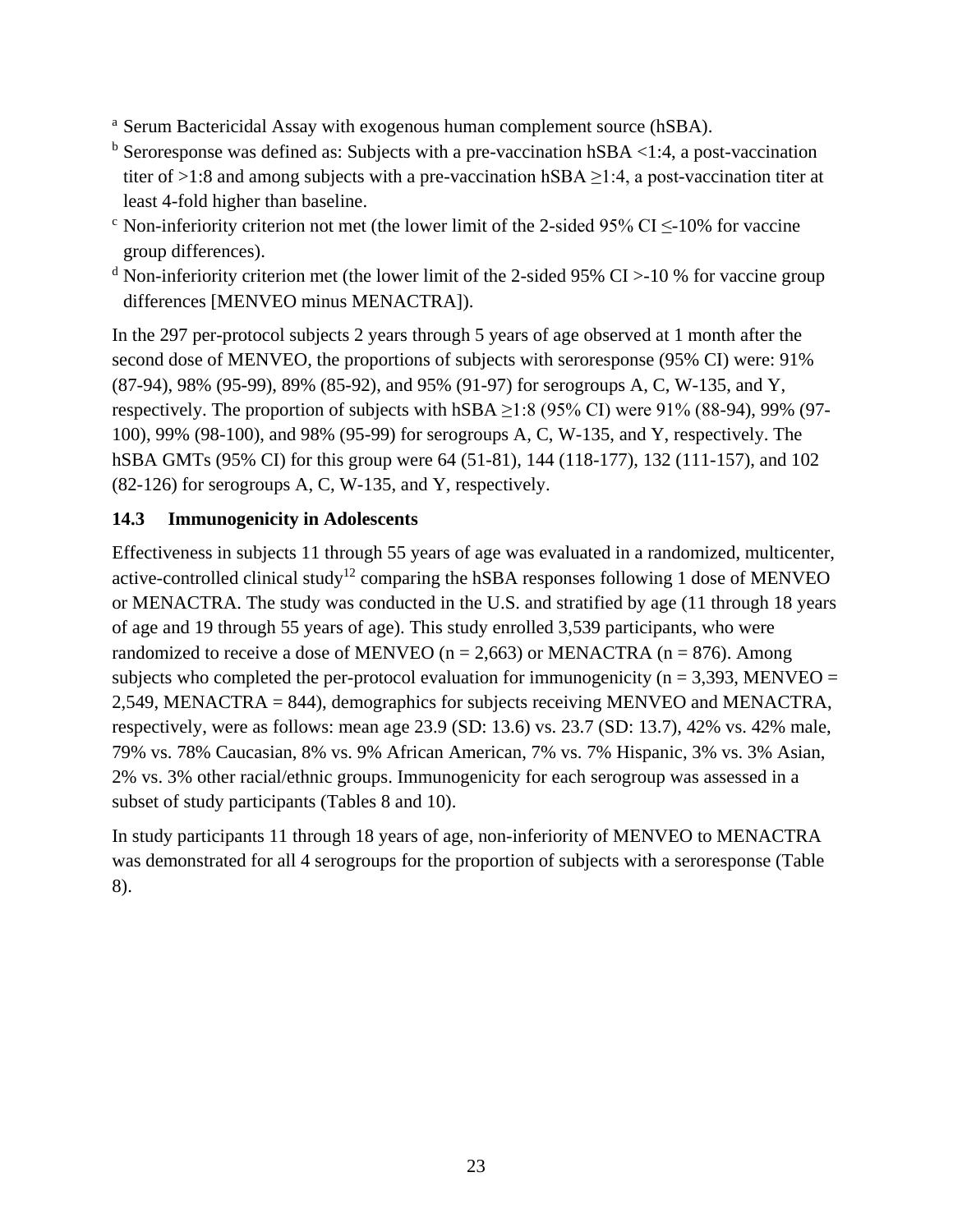- <sup>a</sup> Serum Bactericidal Assay with exogenous human complement source (hSBA).
- $<sup>b</sup>$  Seroresponse was defined as: Subjects with a pre-vaccination hSBA <1:4, a post-vaccination</sup> titer of >1:8 and among subjects with a pre-vaccination hSBA  $\geq$ 1:4, a post-vaccination titer at least 4-fold higher than baseline.
- $\degree$  Non-inferiority criterion not met (the lower limit of the 2-sided 95% CI  $\leq$ -10% for vaccine group differences).
- <sup>d</sup> Non-inferiority criterion met (the lower limit of the 2-sided 95% CI >-10 % for vaccine group differences [MENVEO minus MENACTRA]).

In the 297 per-protocol subjects 2 years through 5 years of age observed at 1 month after the second dose of MENVEO, the proportions of subjects with seroresponse (95% CI) were: 91% (87-94), 98% (95-99), 89% (85-92), and 95% (91-97) for serogroups A, C, W-135, and Y, respectively. The proportion of subjects with hSBA  $\geq$ 1:8 (95% CI) were 91% (88-94), 99% (97-100), 99% (98-100), and 98% (95-99) for serogroups A, C, W-135, and Y, respectively. The hSBA GMTs (95% CI) for this group were 64 (51-81), 144 (118-177), 132 (111-157), and 102 (82-126) for serogroups A, C, W-135, and Y, respectively.

## <span id="page-22-0"></span>**14.3 Immunogenicity in Adolescents**

Effectiveness in subjects 11 through 55 years of age was evaluated in a randomized, multicenter, active-controlled clinical study<sup>12</sup> comparing the hSBA responses following 1 dose of MENVEO or MENACTRA. The study was conducted in the U.S. and stratified by age (11 through 18 years of age and 19 through 55 years of age). This study enrolled 3,539 participants, who were randomized to receive a dose of MENVEO ( $n = 2,663$ ) or MENACTRA ( $n = 876$ ). Among subjects who completed the per-protocol evaluation for immunogenicity ( $n = 3,393$ , MENVEO = 2,549, MENACTRA = 844), demographics for subjects receiving MENVEO and MENACTRA, respectively, were as follows: mean age 23.9 (SD: 13.6) vs. 23.7 (SD: 13.7), 42% vs. 42% male, 79% vs. 78% Caucasian, 8% vs. 9% African American, 7% vs. 7% Hispanic, 3% vs. 3% Asian, 2% vs. 3% other racial/ethnic groups. Immunogenicity for each serogroup was assessed in a subset of study participants (Tables 8 and 10).

In study participants 11 through 18 years of age, non-inferiority of MENVEO to MENACTRA was demonstrated for all 4 serogroups for the proportion of subjects with a seroresponse (Table 8).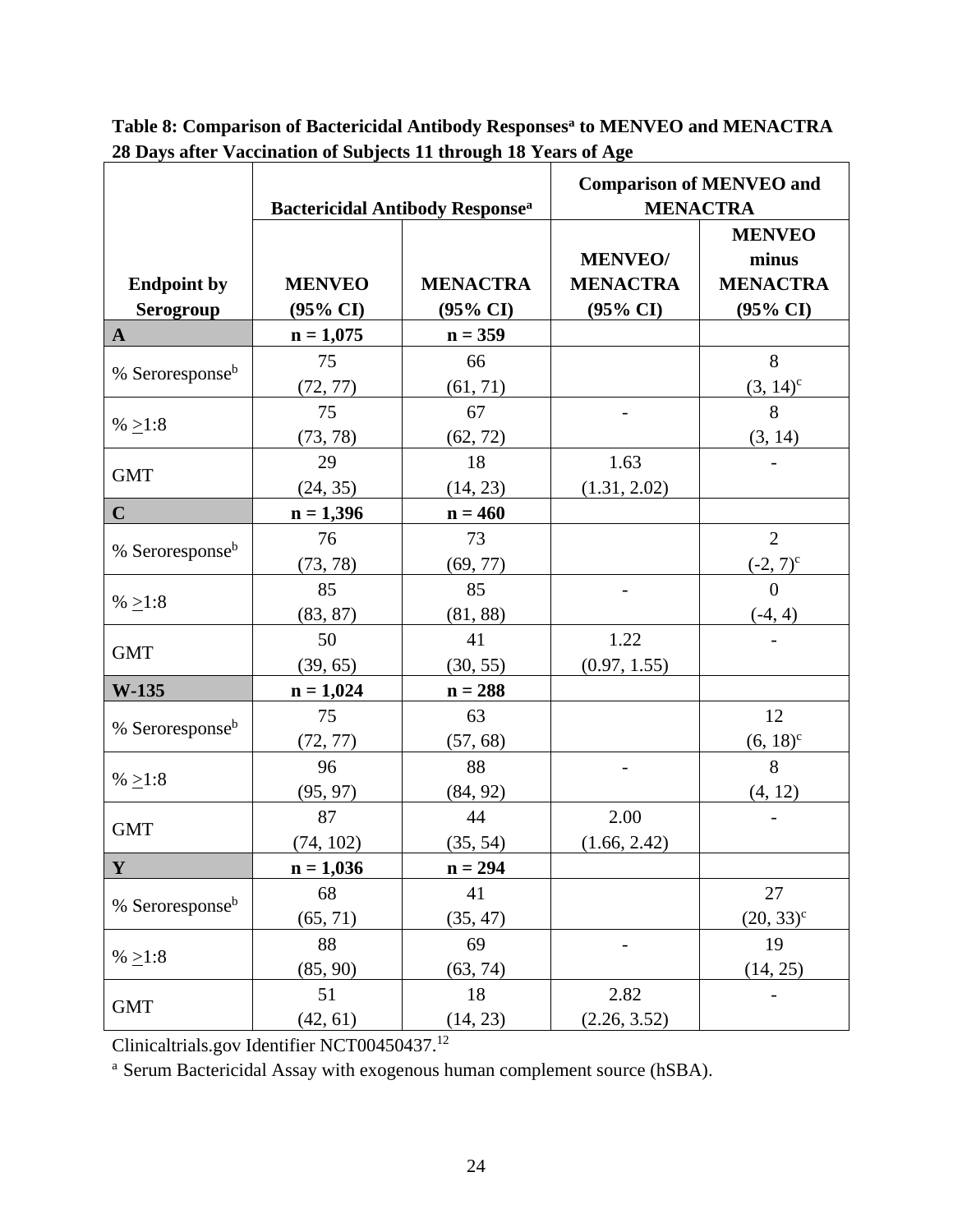|                             | <b>Bactericidal Antibody Response</b> <sup>a</sup> |                     | <b>Comparison of MENVEO and</b><br><b>MENACTRA</b> |                        |  |
|-----------------------------|----------------------------------------------------|---------------------|----------------------------------------------------|------------------------|--|
|                             |                                                    |                     | <b>MENVEO/</b>                                     | <b>MENVEO</b><br>minus |  |
| <b>Endpoint by</b>          | <b>MENVEO</b>                                      | <b>MENACTRA</b>     | <b>MENACTRA</b>                                    | <b>MENACTRA</b>        |  |
| Serogroup                   | $(95\% \text{ CI})$                                | $(95\% \text{ CI})$ | $(95\% \text{ CI})$                                | $(95\% \text{ CI})$    |  |
| $\mathbf{A}$                | $n = 1,075$                                        | $n = 359$           |                                                    |                        |  |
| % Seroresponse <sup>b</sup> | 75                                                 | 66                  |                                                    | 8                      |  |
|                             | (72, 77)                                           | (61, 71)            |                                                    | $(3, 14)^c$            |  |
| % $\geq$ 1:8                | 75                                                 | 67                  |                                                    | 8                      |  |
|                             | (73, 78)                                           | (62, 72)            |                                                    | (3, 14)                |  |
| <b>GMT</b>                  | 29                                                 | 18                  | 1.63                                               |                        |  |
|                             | (24, 35)                                           | (14, 23)            | (1.31, 2.02)                                       |                        |  |
| $\mathbf C$                 | $n = 1,396$                                        | $n = 460$           |                                                    |                        |  |
|                             | 76                                                 | 73                  |                                                    | $\overline{2}$         |  |
| % Seroresponse <sup>b</sup> | (73, 78)                                           | (69, 77)            |                                                    | $(-2, 7)^c$            |  |
|                             | 85                                                 | 85                  |                                                    | $\theta$               |  |
| % $\geq$ 1:8                | (83, 87)                                           | (81, 88)            |                                                    | $(-4, 4)$              |  |
|                             | 50                                                 | 41                  | 1.22                                               |                        |  |
| <b>GMT</b>                  | (39, 65)                                           | (30, 55)            | (0.97, 1.55)                                       |                        |  |
| W-135                       | $n = 1,024$                                        | $n = 288$           |                                                    |                        |  |
|                             | 75                                                 | 63                  |                                                    | 12                     |  |
| % Seroresponse <sup>b</sup> | (72, 77)                                           | (57, 68)            |                                                    | $(6, 18)^c$            |  |
|                             | 96                                                 | 88                  |                                                    | 8                      |  |
| % >1:8                      | (95, 97)                                           | (84, 92)            |                                                    | (4, 12)                |  |
| <b>GMT</b>                  | 87                                                 | 44                  | 2.00                                               |                        |  |
|                             | (74, 102)                                          | (35, 54)            | (1.66, 2.42)                                       |                        |  |
| $\mathbf{Y}$                | $n = 1,036$                                        | $n = 294$           |                                                    |                        |  |
| % Seroresponse <sup>b</sup> | 68                                                 | 41                  |                                                    | 27                     |  |
|                             | (65, 71)                                           | (35, 47)            |                                                    | $(20, 33)^c$           |  |
| % $\geq$ 1:8                | 88                                                 | 69                  |                                                    | 19                     |  |
|                             | (85, 90)                                           | (63, 74)            |                                                    | (14, 25)               |  |
|                             | 51                                                 | 18                  | 2.82                                               |                        |  |
| <b>GMT</b>                  | (42, 61)                                           | (14, 23)            | (2.26, 3.52)                                       |                        |  |

**Table 8: Comparison of Bactericidal Antibody Responses<sup>a</sup> to MENVEO and MENACTRA 28 Days after Vaccination of Subjects 11 through 18 Years of Age**

Clinicaltrials.gov Identifier NCT00450437. 12

<sup>a</sup> Serum Bactericidal Assay with exogenous human complement source (hSBA).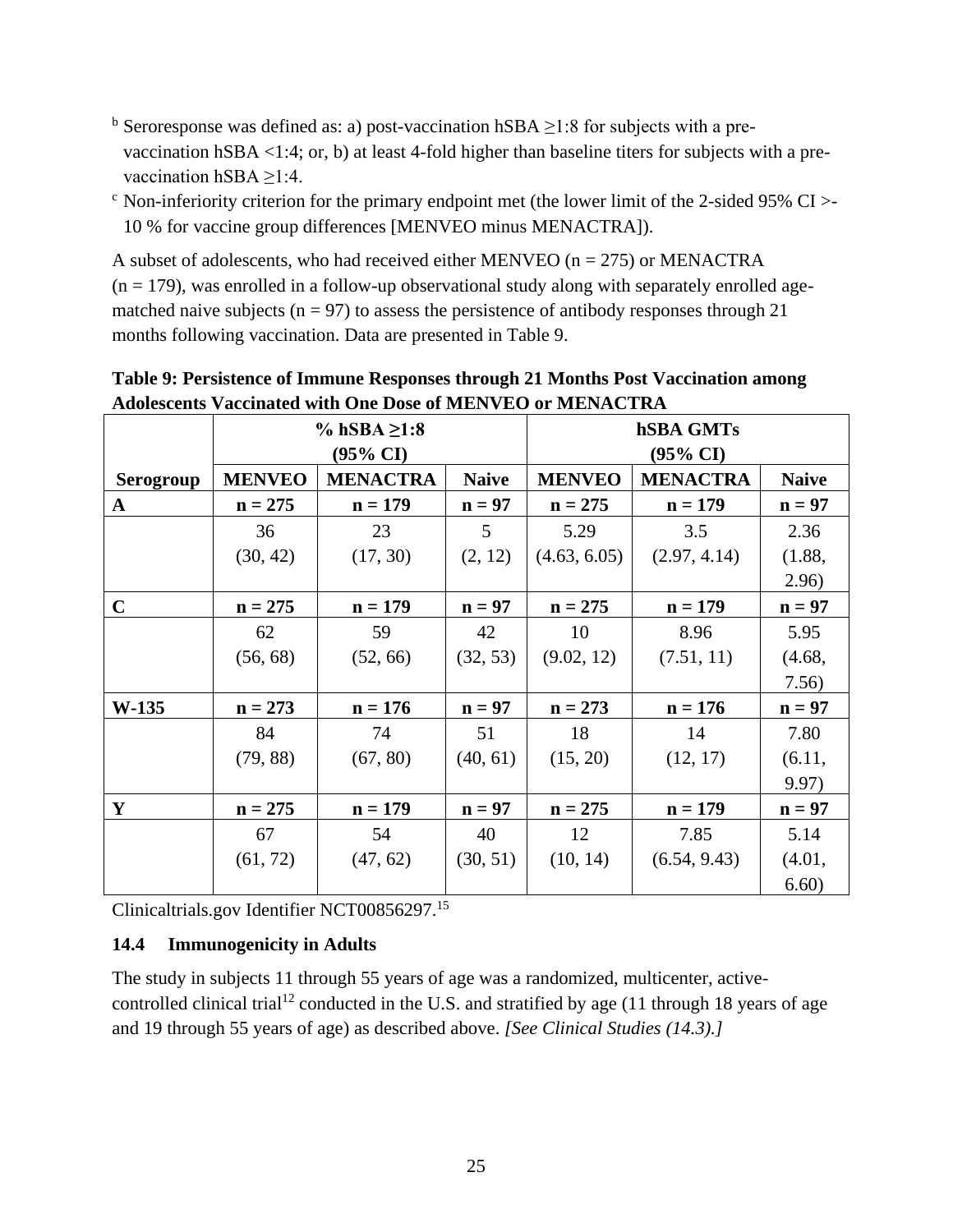- <sup>b</sup> Seroresponse was defined as: a) post-vaccination hSBA  $\geq$ 1:8 for subjects with a prevaccination hSBA <1:4; or, b) at least 4-fold higher than baseline titers for subjects with a prevaccination hSBA ≥1:4.
- $\degree$  Non-inferiority criterion for the primary endpoint met (the lower limit of the 2-sided 95% CI >-10 % for vaccine group differences [MENVEO minus MENACTRA]).

A subset of adolescents, who had received either MENVEO ( $n = 275$ ) or MENACTRA  $(n = 179)$ , was enrolled in a follow-up observational study along with separately enrolled agematched naive subjects ( $n = 97$ ) to assess the persistence of antibody responses through 21 months following vaccination. Data are presented in Table 9.

|              | % hSBA $\geq 1:8$   |                 |              | hSBA GMTs           |                 |              |  |
|--------------|---------------------|-----------------|--------------|---------------------|-----------------|--------------|--|
|              | $(95\% \text{ CI})$ |                 |              | $(95\% \text{ CI})$ |                 |              |  |
| Serogroup    | <b>MENVEO</b>       | <b>MENACTRA</b> | <b>Naive</b> | <b>MENVEO</b>       | <b>MENACTRA</b> | <b>Naive</b> |  |
| $\mathbf{A}$ | $n = 275$           | $n = 179$       | $n = 97$     | $n = 275$           | $n = 179$       | $n = 97$     |  |
|              | 36                  | 23              | 5            | 5.29                | 3.5             | 2.36         |  |
|              | (30, 42)            | (17, 30)        | (2, 12)      | (4.63, 6.05)        | (2.97, 4.14)    | (1.88,       |  |
|              |                     |                 |              |                     |                 | 2.96)        |  |
| $\mathbf C$  | $n = 275$           | $n = 179$       | $n = 97$     | $n = 275$           | $n = 179$       | $n = 97$     |  |
|              | 62                  | 59              | 42           | 10                  | 8.96            | 5.95         |  |
|              | (56, 68)            | (52, 66)        | (32, 53)     | (9.02, 12)          | (7.51, 11)      | (4.68,       |  |
|              |                     |                 |              |                     |                 | 7.56)        |  |
| <b>W-135</b> | $n = 273$           | $n = 176$       | $n = 97$     | $n = 273$           | $n = 176$       | $n = 97$     |  |
|              | 84                  | 74              | 51           | 18                  | 14              | 7.80         |  |
|              | (79, 88)            | (67, 80)        | (40, 61)     | (15, 20)            | (12, 17)        | (6.11,       |  |
|              |                     |                 |              |                     |                 | 9.97)        |  |
| Y            | $n = 275$           | $n = 179$       | $n = 97$     | $n = 275$           | $n = 179$       | $n = 97$     |  |
|              | 67                  | 54              | 40           | 12                  | 7.85            | 5.14         |  |
|              | (61, 72)            | (47, 62)        | (30, 51)     | (10, 14)            | (6.54, 9.43)    | (4.01,       |  |
|              |                     |                 |              |                     |                 | 6.60)        |  |

**Table 9: Persistence of Immune Responses through 21 Months Post Vaccination among Adolescents Vaccinated with One Dose of MENVEO or MENACTRA**

Clinicaltrials.gov Identifier NCT00856297. 15

#### <span id="page-24-0"></span>**14.4 Immunogenicity in Adults**

The study in subjects 11 through 55 years of age was a randomized, multicenter, activecontrolled clinical trial<sup>12</sup> conducted in the U.S. and stratified by age (11 through 18 years of age and 19 through 55 years of age) as described above. *[See Clinical Studies (14.3).]*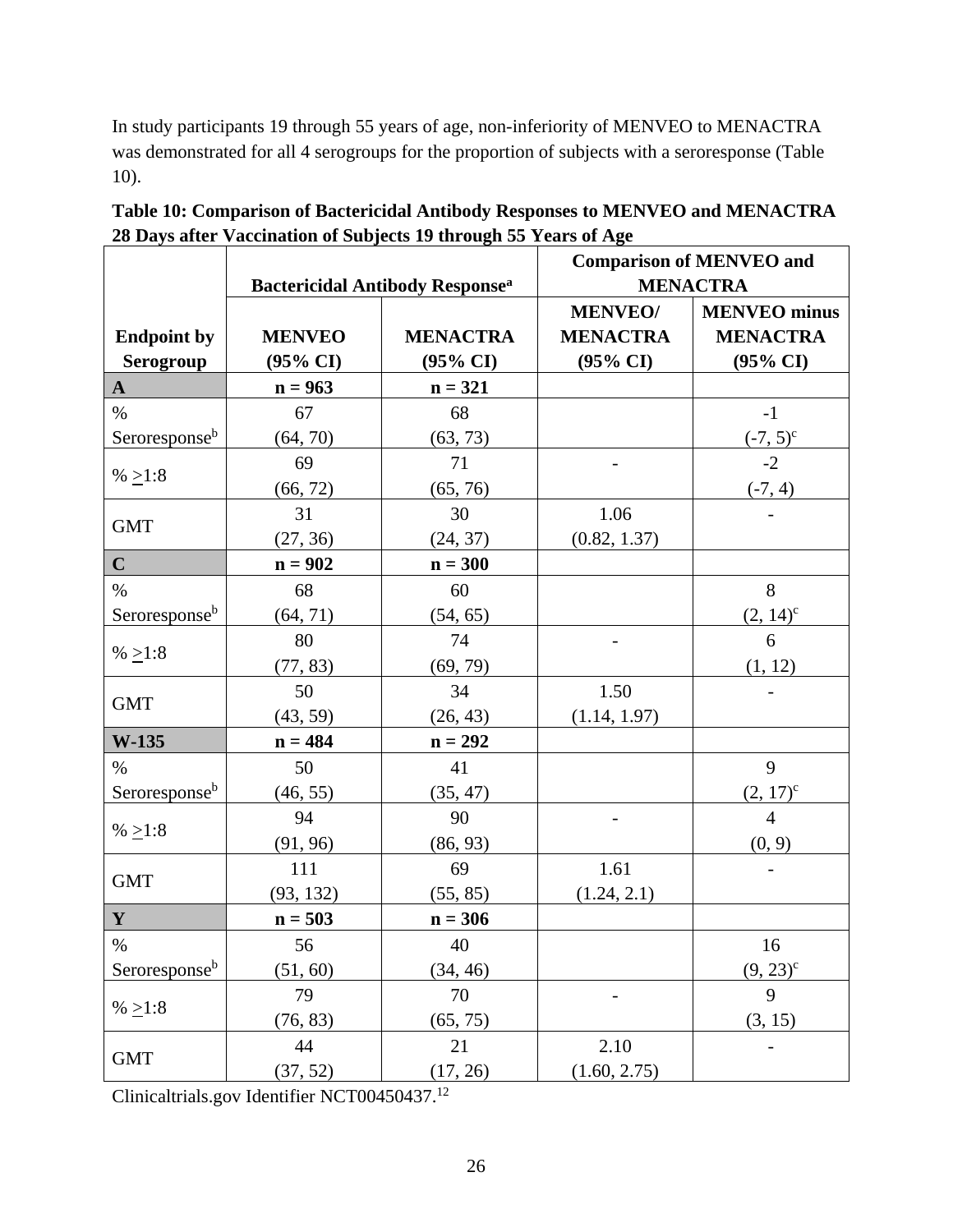In study participants 19 through 55 years of age, non-inferiority of MENVEO to MENACTRA was demonstrated for all 4 serogroups for the proportion of subjects with a seroresponse (Table 10).

|                           |                     | $\sigma$ Days are a recentation of Subjects 19 an ough ever can see the $\sigma$ | <b>Comparison of MENVEO and</b> |                     |  |
|---------------------------|---------------------|----------------------------------------------------------------------------------|---------------------------------|---------------------|--|
|                           |                     | <b>Bactericidal Antibody Response</b> <sup>a</sup>                               |                                 | <b>MENACTRA</b>     |  |
|                           |                     |                                                                                  | <b>MENVEO/</b>                  | <b>MENVEO</b> minus |  |
| <b>Endpoint by</b>        | <b>MENVEO</b>       | <b>MENACTRA</b>                                                                  | <b>MENACTRA</b>                 | <b>MENACTRA</b>     |  |
| <b>Serogroup</b>          | $(95\% \text{ CI})$ | $(95\% \text{ CI})$                                                              | $(95\% \text{ CI})$             | $(95\% \text{ CI})$ |  |
| $\mathbf{A}$              | $n = 963$           | $n = 321$                                                                        |                                 |                     |  |
| $\%$                      | 67                  | 68                                                                               |                                 | $-1$                |  |
| Seroresponse <sup>b</sup> | (64, 70)            | (63, 73)                                                                         |                                 | $(-7, 5)^c$         |  |
|                           | 69                  | 71                                                                               |                                 | $-2$                |  |
| % $\geq$ 1:8              | (66, 72)            | (65, 76)                                                                         |                                 | $(-7, 4)$           |  |
|                           | 31                  | 30                                                                               | 1.06                            |                     |  |
| <b>GMT</b>                | (27, 36)            | (24, 37)                                                                         | (0.82, 1.37)                    |                     |  |
| $\mathbf C$               | $n = 902$           | $n = 300$                                                                        |                                 |                     |  |
| $\%$                      | 68                  | 60                                                                               |                                 | 8                   |  |
| Seroresponse <sup>b</sup> | (64, 71)            | (54, 65)                                                                         |                                 | $(2, 14)^c$         |  |
|                           | 80                  | 74                                                                               |                                 | 6                   |  |
| % $\geq$ 1:8              | (77, 83)            | (69, 79)                                                                         |                                 | (1, 12)             |  |
| <b>GMT</b>                | 50                  | 34                                                                               | 1.50                            |                     |  |
|                           | (43, 59)            | (26, 43)                                                                         | (1.14, 1.97)                    |                     |  |
| W-135                     | $n = 484$           | $n = 292$                                                                        |                                 |                     |  |
| $\%$                      | 50                  | 41                                                                               |                                 | 9                   |  |
| Seroresponse <sup>b</sup> | (46, 55)            | (35, 47)                                                                         |                                 | $(2, 17)^c$         |  |
|                           | 94                  | 90                                                                               |                                 | $\overline{4}$      |  |
| % $\geq$ 1:8              | (91, 96)            | (86, 93)                                                                         |                                 | (0, 9)              |  |
| <b>GMT</b>                | 111                 | 69                                                                               | 1.61                            |                     |  |
|                           | (93, 132)           | (55, 85)                                                                         | (1.24, 2.1)                     |                     |  |
| $\mathbf Y$               | $n = 503$           | $n = 306$                                                                        |                                 |                     |  |
| $\%$                      | 56                  | 40                                                                               |                                 | 16                  |  |
| Seroresponse <sup>b</sup> | (51, 60)            | (34, 46)                                                                         |                                 | $(9, 23)^c$         |  |
|                           | 79                  | 70                                                                               |                                 | 9                   |  |
| % $\geq$ 1:8              | (76, 83)            | (65, 75)                                                                         |                                 | (3, 15)             |  |
|                           | 44                  | 21                                                                               | 2.10                            |                     |  |
| <b>GMT</b>                | (37, 52)            | (17, 26)                                                                         | (1.60, 2.75)                    |                     |  |

**Table 10: Comparison of Bactericidal Antibody Responses to MENVEO and MENACTRA 28 Days after Vaccination of Subjects 19 through 55 Years of Age**

Clinicaltrials.gov Identifier NCT00450437. 12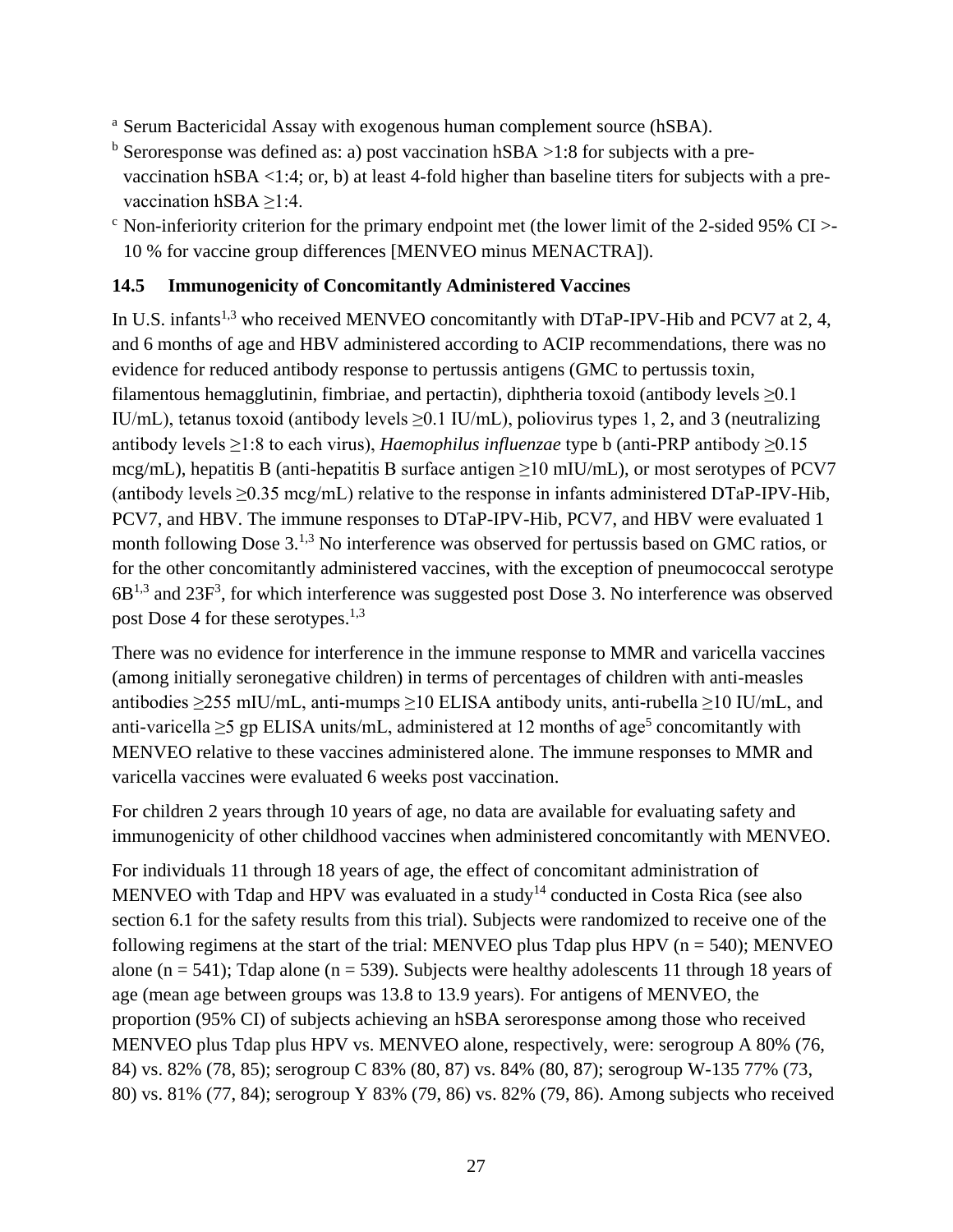- <sup>a</sup> Serum Bactericidal Assay with exogenous human complement source (hSBA).
- $<sup>b</sup>$  Seroresponse was defined as: a) post vaccination hSBA >1:8 for subjects with a pre-</sup> vaccination hSBA <1:4; or, b) at least 4-fold higher than baseline titers for subjects with a prevaccination hSBA  $\geq$ 1:4.
- $\rm^{\circ}$  Non-inferiority criterion for the primary endpoint met (the lower limit of the 2-sided 95% CI  $>$ 10 % for vaccine group differences [MENVEO minus MENACTRA]).

#### <span id="page-26-0"></span>**14.5 Immunogenicity of Concomitantly Administered Vaccines**

In U.S. infants<sup>1,3</sup> who received MENVEO concomitantly with DTaP-IPV-Hib and PCV7 at 2, 4, and 6 months of age and HBV administered according to ACIP recommendations, there was no evidence for reduced antibody response to pertussis antigens (GMC to pertussis toxin, filamentous hemagglutinin, fimbriae, and pertactin), diphtheria toxoid (antibody levels  $\geq 0.1$ IU/mL), tetanus toxoid (antibody levels  $\geq$  0.1 IU/mL), poliovirus types 1, 2, and 3 (neutralizing antibody levels ≥1:8 to each virus), *Haemophilus influenzae* type b (anti-PRP antibody ≥0.15 mcg/mL), hepatitis B (anti-hepatitis B surface antigen  $\geq$ 10 mIU/mL), or most serotypes of PCV7 (antibody levels  $\geq 0.35$  mcg/mL) relative to the response in infants administered DTaP-IPV-Hib, PCV7, and HBV. The immune responses to DTaP-IPV-Hib, PCV7, and HBV were evaluated 1 month following Dose 3.<sup>1,3</sup> No interference was observed for pertussis based on GMC ratios, or for the other concomitantly administered vaccines, with the exception of pneumococcal serotype  $6B^{1,3}$  and  $23F^3$ , for which interference was suggested post Dose 3. No interference was observed post Dose 4 for these serotypes.<sup>1,3</sup>

There was no evidence for interference in the immune response to MMR and varicella vaccines (among initially seronegative children) in terms of percentages of children with anti-measles antibodies ≥255 mIU/mL, anti-mumps ≥10 ELISA antibody units, anti-rubella ≥10 IU/mL, and anti-varicella  $\geq$ 5 gp ELISA units/mL, administered at 12 months of age<sup>5</sup> concomitantly with MENVEO relative to these vaccines administered alone. The immune responses to MMR and varicella vaccines were evaluated 6 weeks post vaccination.

For children 2 years through 10 years of age, no data are available for evaluating safety and immunogenicity of other childhood vaccines when administered concomitantly with MENVEO.

For individuals 11 through 18 years of age, the effect of concomitant administration of MENVEO with Tdap and HPV was evaluated in a study<sup>14</sup> conducted in Costa Rica (see also section 6.1 for the safety results from this trial). Subjects were randomized to receive one of the following regimens at the start of the trial: MENVEO plus Tdap plus HPV ( $n = 540$ ); MENVEO alone ( $n = 541$ ); Tdap alone ( $n = 539$ ). Subjects were healthy adolescents 11 through 18 years of age (mean age between groups was 13.8 to 13.9 years). For antigens of MENVEO, the proportion (95% CI) of subjects achieving an hSBA seroresponse among those who received MENVEO plus Tdap plus HPV vs. MENVEO alone, respectively, were: serogroup A 80% (76, 84) vs. 82% (78, 85); serogroup C 83% (80, 87) vs. 84% (80, 87); serogroup W-135 77% (73, 80) vs. 81% (77, 84); serogroup Y 83% (79, 86) vs. 82% (79, 86). Among subjects who received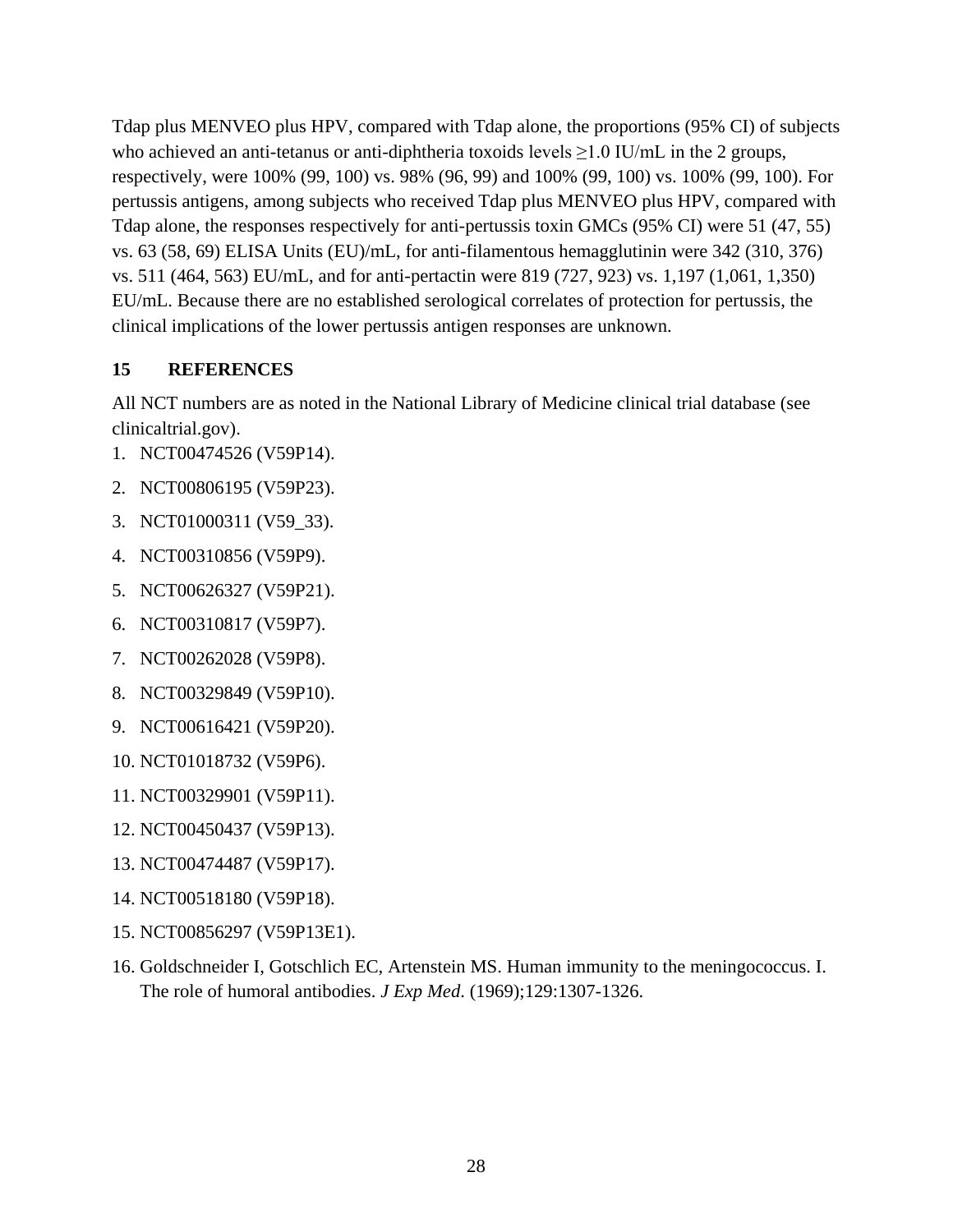Tdap plus MENVEO plus HPV, compared with Tdap alone, the proportions (95% CI) of subjects who achieved an anti-tetanus or anti-diphtheria toxoids levels  $\geq$  1.0 IU/mL in the 2 groups, respectively, were 100% (99, 100) vs. 98% (96, 99) and 100% (99, 100) vs. 100% (99, 100). For pertussis antigens, among subjects who received Tdap plus MENVEO plus HPV, compared with Tdap alone, the responses respectively for anti-pertussis toxin GMCs (95% CI) were 51 (47, 55) vs. 63 (58, 69) ELISA Units (EU)/mL, for anti-filamentous hemagglutinin were 342 (310, 376) vs. 511 (464, 563) EU/mL, and for anti-pertactin were 819 (727, 923) vs. 1,197 (1,061, 1,350) EU/mL. Because there are no established serological correlates of protection for pertussis, the clinical implications of the lower pertussis antigen responses are unknown.

#### <span id="page-27-0"></span>**15 REFERENCES**

All NCT numbers are as noted in the National Library of Medicine clinical trial database (see clinicaltrial.gov).

- 1. NCT00474526 (V59P14).
- 2. NCT00806195 (V59P23).
- 3. NCT01000311 (V59\_33).
- 4. NCT00310856 (V59P9).
- 5. NCT00626327 (V59P21).
- 6. NCT00310817 (V59P7).
- 7. NCT00262028 (V59P8).
- 8. NCT00329849 (V59P10).
- 9. NCT00616421 (V59P20).
- 10. NCT01018732 (V59P6).
- 11. NCT00329901 (V59P11).
- 12. NCT00450437 (V59P13).
- 13. NCT00474487 (V59P17).
- 14. NCT00518180 (V59P18).
- 15. NCT00856297 (V59P13E1).
- 16. Goldschneider I, Gotschlich EC, Artenstein MS. Human immunity to the meningococcus. I. The role of humoral antibodies. *J Exp Med*. (1969);129:1307-1326.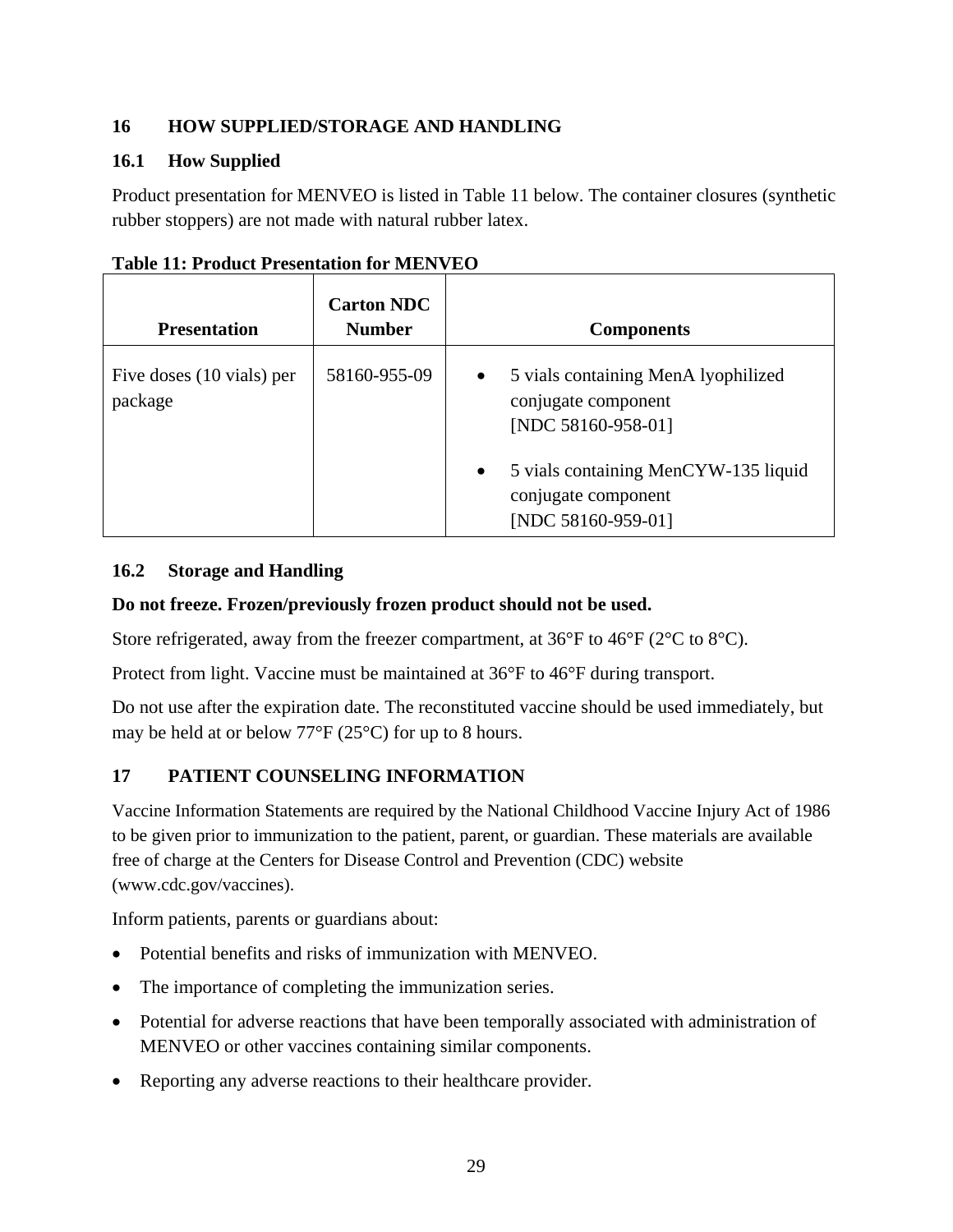## <span id="page-28-0"></span>**16 HOW SUPPLIED/STORAGE AND HANDLING**

## <span id="page-28-1"></span>**16.1 How Supplied**

Product presentation for MENVEO is listed in Table 11 below. The container closures (synthetic rubber stoppers) are not made with natural rubber latex.

| <b>Presentation</b>                  | <b>Carton NDC</b><br><b>Number</b> | <b>Components</b>                                                                                                                                                                               |
|--------------------------------------|------------------------------------|-------------------------------------------------------------------------------------------------------------------------------------------------------------------------------------------------|
| Five doses (10 vials) per<br>package | 58160-955-09                       | 5 vials containing MenA lyophilized<br>$\bullet$<br>conjugate component<br>[NDC 58160-958-01]<br>5 vials containing MenCYW-135 liquid<br>$\bullet$<br>conjugate component<br>[NDC 58160-959-01] |

|  |  | <b>Table 11: Product Presentation for MENVEO</b> |  |  |
|--|--|--------------------------------------------------|--|--|
|--|--|--------------------------------------------------|--|--|

#### <span id="page-28-2"></span>**16.2 Storage and Handling**

## **Do not freeze. Frozen/previously frozen product should not be used.**

Store refrigerated, away from the freezer compartment, at 36°F to 46°F (2°C to 8°C).

Protect from light. Vaccine must be maintained at 36°F to 46°F during transport.

Do not use after the expiration date. The reconstituted vaccine should be used immediately, but may be held at or below 77°F (25°C) for up to 8 hours.

## <span id="page-28-3"></span>**17 PATIENT COUNSELING INFORMATION**

Vaccine Information Statements are required by the National Childhood Vaccine Injury Act of 1986 to be given prior to immunization to the patient, parent, or guardian. These materials are available free of charge at the Centers for Disease Control and Prevention (CDC) website (www.cdc.gov/vaccines).

Inform patients, parents or guardians about:

- Potential benefits and risks of immunization with MENVEO.
- The importance of completing the immunization series.
- Potential for adverse reactions that have been temporally associated with administration of MENVEO or other vaccines containing similar components.
- Reporting any adverse reactions to their healthcare provider.